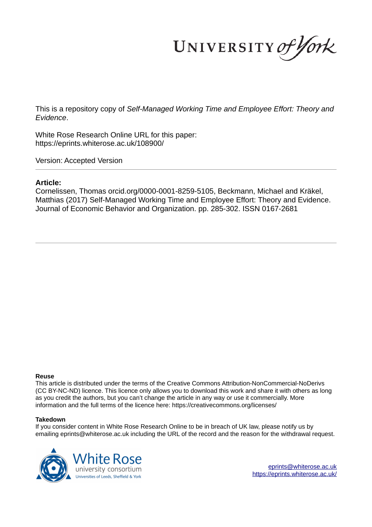UNIVERSITY of York

This is a repository copy of *Self-Managed Working Time and Employee Effort: Theory and Evidence*.

White Rose Research Online URL for this paper: https://eprints.whiterose.ac.uk/108900/

Version: Accepted Version

# **Article:**

Cornelissen, Thomas orcid.org/0000-0001-8259-5105, Beckmann, Michael and Kräkel, Matthias (2017) Self-Managed Working Time and Employee Effort: Theory and Evidence. Journal of Economic Behavior and Organization. pp. 285-302. ISSN 0167-2681

#### **Reuse**

This article is distributed under the terms of the Creative Commons Attribution-NonCommercial-NoDerivs (CC BY-NC-ND) licence. This licence only allows you to download this work and share it with others as long as you credit the authors, but you can't change the article in any way or use it commercially. More information and the full terms of the licence here: https://creativecommons.org/licenses/

#### **Takedown**

If you consider content in White Rose Research Online to be in breach of UK law, please notify us by emailing eprints@whiterose.ac.uk including the URL of the record and the reason for the withdrawal request.



eprints@whiterose.ac.uk https://eprints.whiterose.ac.uk/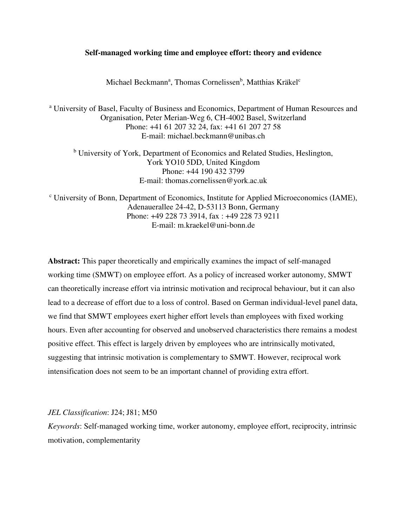# **Self-managed working time and employee effort: theory and evidence**

Michael Beckmann<sup>a</sup>, Thomas Cornelissen<sup>b</sup>, Matthias Kräkel<sup>c</sup>

<sup>a</sup> University of Basel, Faculty of Business and Economics, Department of Human Resources and Organisation, Peter Merian-Weg 6, CH-4002 Basel, Switzerland Phone: +41 61 207 32 24, fax: +41 61 207 27 58 E-mail: michael.beckmann@unibas.ch

<sup>b</sup> University of York, Department of Economics and Related Studies, Heslington, York YO10 5DD, United Kingdom Phone: +44 190 432 3799 E-mail: thomas.cornelissen@york.ac.uk

<sup>c</sup> University of Bonn, Department of Economics, Institute for Applied Microeconomics (IAME), Adenauerallee 24-42, D-53113 Bonn, Germany Phone: +49 228 73 3914, fax : +49 228 73 9211 E-mail: m.kraekel@uni-bonn.de

**Abstract:** This paper theoretically and empirically examines the impact of self-managed working time (SMWT) on employee effort. As a policy of increased worker autonomy, SMWT can theoretically increase effort via intrinsic motivation and reciprocal behaviour, but it can also lead to a decrease of effort due to a loss of control. Based on German individual-level panel data, we find that SMWT employees exert higher effort levels than employees with fixed working hours. Even after accounting for observed and unobserved characteristics there remains a modest positive effect. This effect is largely driven by employees who are intrinsically motivated, suggesting that intrinsic motivation is complementary to SMWT. However, reciprocal work intensification does not seem to be an important channel of providing extra effort.

# *JEL Classification*: J24; J81; M50

*Keywords*: Self-managed working time, worker autonomy, employee effort, reciprocity, intrinsic motivation, complementarity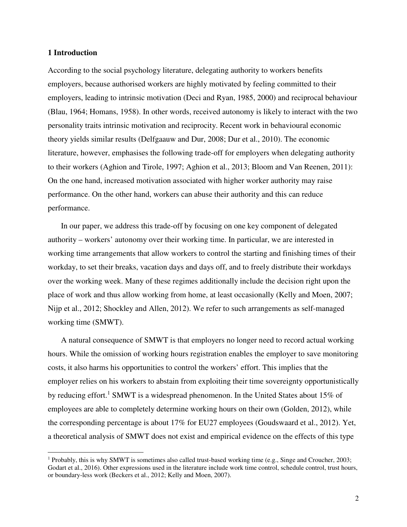# **1 Introduction**

According to the social psychology literature, delegating authority to workers benefits employers, because authorised workers are highly motivated by feeling committed to their employers, leading to intrinsic motivation (Deci and Ryan, 1985, 2000) and reciprocal behaviour (Blau, 1964; Homans, 1958). In other words, received autonomy is likely to interact with the two personality traits intrinsic motivation and reciprocity. Recent work in behavioural economic theory yields similar results (Delfgaauw and Dur, 2008; Dur et al., 2010). The economic literature, however, emphasises the following trade-off for employers when delegating authority to their workers (Aghion and Tirole, 1997; Aghion et al., 2013; Bloom and Van Reenen, 2011): On the one hand, increased motivation associated with higher worker authority may raise performance. On the other hand, workers can abuse their authority and this can reduce performance.

In our paper, we address this trade-off by focusing on one key component of delegated authority – workers' autonomy over their working time. In particular, we are interested in working time arrangements that allow workers to control the starting and finishing times of their workday, to set their breaks, vacation days and days off, and to freely distribute their workdays over the working week. Many of these regimes additionally include the decision right upon the place of work and thus allow working from home, at least occasionally (Kelly and Moen, 2007; Nijp et al., 2012; Shockley and Allen, 2012). We refer to such arrangements as self-managed working time (SMWT).

A natural consequence of SMWT is that employers no longer need to record actual working hours. While the omission of working hours registration enables the employer to save monitoring costs, it also harms his opportunities to control the workers' effort. This implies that the employer relies on his workers to abstain from exploiting their time sovereignty opportunistically by reducing effort.<sup>1</sup> SMWT is a widespread phenomenon. In the United States about 15% of employees are able to completely determine working hours on their own (Golden, 2012), while the corresponding percentage is about 17% for EU27 employees (Goudswaard et al., 2012). Yet, a theoretical analysis of SMWT does not exist and empirical evidence on the effects of this type

<sup>1</sup> Probably, this is why SMWT is sometimes also called trust-based working time (e.g., Singe and Croucher, 2003; Godart et al., 2016). Other expressions used in the literature include work time control, schedule control, trust hours, or boundary-less work (Beckers et al., 2012; Kelly and Moen, 2007).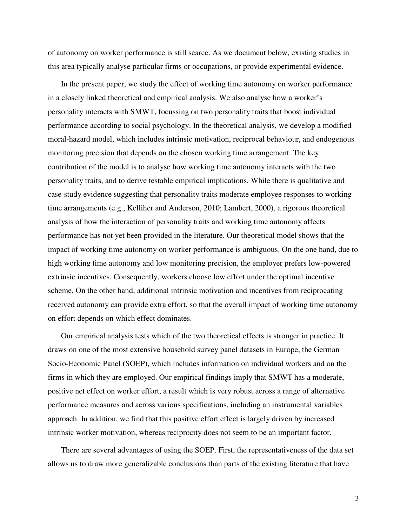of autonomy on worker performance is still scarce. As we document below, existing studies in this area typically analyse particular firms or occupations, or provide experimental evidence.

In the present paper, we study the effect of working time autonomy on worker performance in a closely linked theoretical and empirical analysis. We also analyse how a worker's personality interacts with SMWT, focussing on two personality traits that boost individual performance according to social psychology. In the theoretical analysis, we develop a modified moral-hazard model, which includes intrinsic motivation, reciprocal behaviour, and endogenous monitoring precision that depends on the chosen working time arrangement. The key contribution of the model is to analyse how working time autonomy interacts with the two personality traits, and to derive testable empirical implications. While there is qualitative and case-study evidence suggesting that personality traits moderate employee responses to working time arrangements (e.g., Kelliher and Anderson, 2010; Lambert, 2000), a rigorous theoretical analysis of how the interaction of personality traits and working time autonomy affects performance has not yet been provided in the literature. Our theoretical model shows that the impact of working time autonomy on worker performance is ambiguous. On the one hand, due to high working time autonomy and low monitoring precision, the employer prefers low-powered extrinsic incentives. Consequently, workers choose low effort under the optimal incentive scheme. On the other hand, additional intrinsic motivation and incentives from reciprocating received autonomy can provide extra effort, so that the overall impact of working time autonomy on effort depends on which effect dominates.

Our empirical analysis tests which of the two theoretical effects is stronger in practice. It draws on one of the most extensive household survey panel datasets in Europe, the German Socio-Economic Panel (SOEP), which includes information on individual workers and on the firms in which they are employed. Our empirical findings imply that SMWT has a moderate, positive net effect on worker effort, a result which is very robust across a range of alternative performance measures and across various specifications, including an instrumental variables approach. In addition, we find that this positive effort effect is largely driven by increased intrinsic worker motivation, whereas reciprocity does not seem to be an important factor.

There are several advantages of using the SOEP. First, the representativeness of the data set allows us to draw more generalizable conclusions than parts of the existing literature that have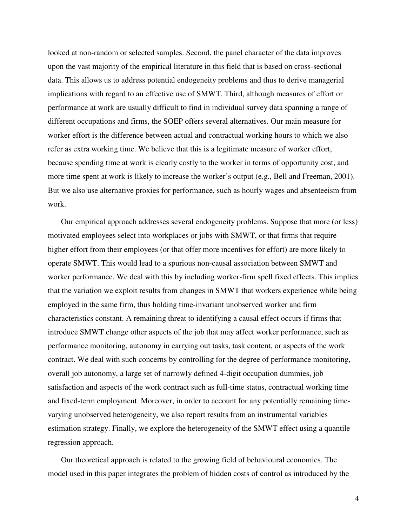looked at non-random or selected samples. Second, the panel character of the data improves upon the vast majority of the empirical literature in this field that is based on cross-sectional data. This allows us to address potential endogeneity problems and thus to derive managerial implications with regard to an effective use of SMWT. Third, although measures of effort or performance at work are usually difficult to find in individual survey data spanning a range of different occupations and firms, the SOEP offers several alternatives. Our main measure for worker effort is the difference between actual and contractual working hours to which we also refer as extra working time. We believe that this is a legitimate measure of worker effort, because spending time at work is clearly costly to the worker in terms of opportunity cost, and more time spent at work is likely to increase the worker's output (e.g., Bell and Freeman, 2001). But we also use alternative proxies for performance, such as hourly wages and absenteeism from work.

Our empirical approach addresses several endogeneity problems. Suppose that more (or less) motivated employees select into workplaces or jobs with SMWT, or that firms that require higher effort from their employees (or that offer more incentives for effort) are more likely to operate SMWT. This would lead to a spurious non-causal association between SMWT and worker performance. We deal with this by including worker-firm spell fixed effects. This implies that the variation we exploit results from changes in SMWT that workers experience while being employed in the same firm, thus holding time-invariant unobserved worker and firm characteristics constant. A remaining threat to identifying a causal effect occurs if firms that introduce SMWT change other aspects of the job that may affect worker performance, such as performance monitoring, autonomy in carrying out tasks, task content, or aspects of the work contract. We deal with such concerns by controlling for the degree of performance monitoring, overall job autonomy, a large set of narrowly defined 4-digit occupation dummies, job satisfaction and aspects of the work contract such as full-time status, contractual working time and fixed-term employment. Moreover, in order to account for any potentially remaining timevarying unobserved heterogeneity, we also report results from an instrumental variables estimation strategy. Finally, we explore the heterogeneity of the SMWT effect using a quantile regression approach.

Our theoretical approach is related to the growing field of behavioural economics. The model used in this paper integrates the problem of hidden costs of control as introduced by the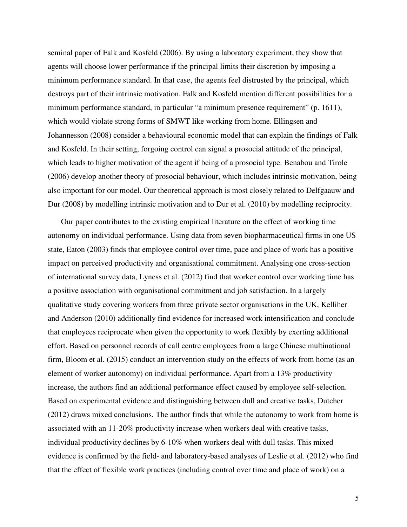seminal paper of Falk and Kosfeld (2006). By using a laboratory experiment, they show that agents will choose lower performance if the principal limits their discretion by imposing a minimum performance standard. In that case, the agents feel distrusted by the principal, which destroys part of their intrinsic motivation. Falk and Kosfeld mention different possibilities for a minimum performance standard, in particular "a minimum presence requirement" (p. 1611), which would violate strong forms of SMWT like working from home. Ellingsen and Johannesson (2008) consider a behavioural economic model that can explain the findings of Falk and Kosfeld. In their setting, forgoing control can signal a prosocial attitude of the principal, which leads to higher motivation of the agent if being of a prosocial type. Benabou and Tirole (2006) develop another theory of prosocial behaviour, which includes intrinsic motivation, being also important for our model. Our theoretical approach is most closely related to Delfgaauw and Dur (2008) by modelling intrinsic motivation and to Dur et al. (2010) by modelling reciprocity.

Our paper contributes to the existing empirical literature on the effect of working time autonomy on individual performance. Using data from seven biopharmaceutical firms in one US state, Eaton (2003) finds that employee control over time, pace and place of work has a positive impact on perceived productivity and organisational commitment. Analysing one cross-section of international survey data, Lyness et al. (2012) find that worker control over working time has a positive association with organisational commitment and job satisfaction. In a largely qualitative study covering workers from three private sector organisations in the UK, Kelliher and Anderson (2010) additionally find evidence for increased work intensification and conclude that employees reciprocate when given the opportunity to work flexibly by exerting additional effort. Based on personnel records of call centre employees from a large Chinese multinational firm, Bloom et al. (2015) conduct an intervention study on the effects of work from home (as an element of worker autonomy) on individual performance. Apart from a 13% productivity increase, the authors find an additional performance effect caused by employee self-selection. Based on experimental evidence and distinguishing between dull and creative tasks, Dutcher (2012) draws mixed conclusions. The author finds that while the autonomy to work from home is associated with an 11-20% productivity increase when workers deal with creative tasks, individual productivity declines by 6-10% when workers deal with dull tasks. This mixed evidence is confirmed by the field- and laboratory-based analyses of Leslie et al. (2012) who find that the effect of flexible work practices (including control over time and place of work) on a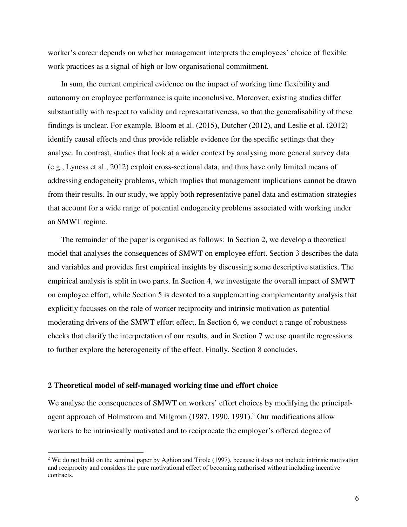worker's career depends on whether management interprets the employees' choice of flexible work practices as a signal of high or low organisational commitment.

In sum, the current empirical evidence on the impact of working time flexibility and autonomy on employee performance is quite inconclusive. Moreover, existing studies differ substantially with respect to validity and representativeness, so that the generalisability of these findings is unclear. For example, Bloom et al. (2015), Dutcher (2012), and Leslie et al. (2012) identify causal effects and thus provide reliable evidence for the specific settings that they analyse. In contrast, studies that look at a wider context by analysing more general survey data (e.g., Lyness et al., 2012) exploit cross-sectional data, and thus have only limited means of addressing endogeneity problems, which implies that management implications cannot be drawn from their results. In our study, we apply both representative panel data and estimation strategies that account for a wide range of potential endogeneity problems associated with working under an SMWT regime.

The remainder of the paper is organised as follows: In Section 2, we develop a theoretical model that analyses the consequences of SMWT on employee effort. Section 3 describes the data and variables and provides first empirical insights by discussing some descriptive statistics. The empirical analysis is split in two parts. In Section 4, we investigate the overall impact of SMWT on employee effort, while Section 5 is devoted to a supplementing complementarity analysis that explicitly focusses on the role of worker reciprocity and intrinsic motivation as potential moderating drivers of the SMWT effort effect. In Section 6, we conduct a range of robustness checks that clarify the interpretation of our results, and in Section 7 we use quantile regressions to further explore the heterogeneity of the effect. Finally, Section 8 concludes.

## **2 Theoretical model of self-managed working time and effort choice**

We analyse the consequences of SMWT on workers' effort choices by modifying the principalagent approach of Holmstrom and Milgrom  $(1987, 1990, 1991)$ .<sup>2</sup> Our modifications allow workers to be intrinsically motivated and to reciprocate the employer's offered degree of

<sup>&</sup>lt;sup>2</sup> We do not build on the seminal paper by Aghion and Tirole (1997), because it does not include intrinsic motivation and reciprocity and considers the pure motivational effect of becoming authorised without including incentive contracts.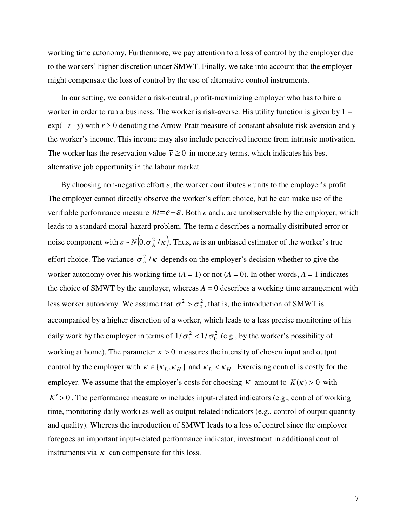working time autonomy. Furthermore, we pay attention to a loss of control by the employer due to the workers' higher discretion under SMWT. Finally, we take into account that the employer might compensate the loss of control by the use of alternative control instruments.

In our setting, we consider a risk-neutral, profit-maximizing employer who has to hire a worker in order to run a business. The worker is risk-averse. His utility function is given by 1 – exp(– *r* ∙ *y*) with *r* > 0 denoting the Arrow-Pratt measure of constant absolute risk aversion and *y* the worker's income. This income may also include perceived income from intrinsic motivation. The worker has the reservation value  $\bar{v} \ge 0$  in monetary terms, which indicates his best alternative job opportunity in the labour market.

By choosing non-negative effort *e*, the worker contributes *e* units to the employer's profit. The employer cannot directly observe the worker's effort choice, but he can make use of the verifiable performance measure  $m=e+\varepsilon$ . Both *e* and  $\varepsilon$  are unobservable by the employer, which leads to a standard moral-hazard problem. The term *ε* describes a normally distributed error or noise component with  $\varepsilon \sim N(0, \sigma_A^2/\kappa)$ . Thus, *m* is an unbiased estimator of the worker's true effort choice. The variance  $\sigma_A^2/\kappa$  $\frac{2}{A}$  /  $\kappa$  depends on the employer's decision whether to give the worker autonomy over his working time  $(A = 1)$  or not  $(A = 0)$ . In other words,  $A = 1$  indicates the choice of SMWT by the employer, whereas  $A = 0$  describes a working time arrangement with less worker autonomy. We assume that  $\sigma_1^2 > \sigma_0^2$ , that is, the introduction of SMWT is accompanied by a higher discretion of a worker, which leads to a less precise monitoring of his daily work by the employer in terms of  $1/\sigma_1^2 < 1/\sigma_0^2$ 2  $1/\sigma_1^2$  <  $1/\sigma_0^2$  (e.g., by the worker's possibility of working at home). The parameter  $\kappa > 0$  measures the intensity of chosen input and output control by the employer with  $\kappa \in \{\kappa_L, \kappa_H\}$  and  $\kappa_L < \kappa_H$ . Exercising control is costly for the employer. We assume that the employer's costs for choosing  $\kappa$  amount to  $K(\kappa) > 0$  with  $K' > 0$ . The performance measure *m* includes input-related indicators (e.g., control of working time, monitoring daily work) as well as output-related indicators (e.g., control of output quantity and quality). Whereas the introduction of SMWT leads to a loss of control since the employer foregoes an important input-related performance indicator, investment in additional control instruments via  $\kappa$  can compensate for this loss.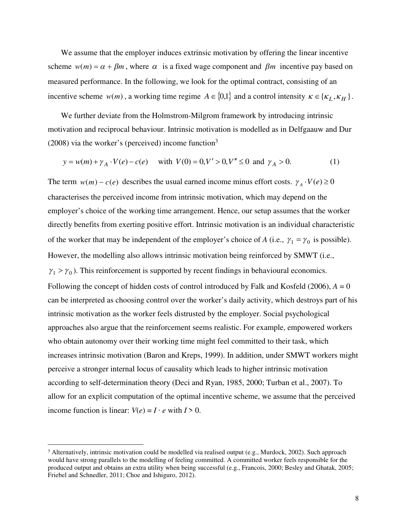We assume that the employer induces extrinsic motivation by offering the linear incentive scheme  $w(m) = \alpha + \beta m$ , where  $\alpha$  is a fixed wage component and  $\beta m$  incentive pay based on measured performance. In the following, we look for the optimal contract, consisting of an incentive scheme  $w(m)$ , a working time regime  $A \in \{0,1\}$  and a control intensity  $\kappa \in \{\kappa_L, \kappa_H\}$ .

We further deviate from the Holmstrom-Milgrom framework by introducing intrinsic motivation and reciprocal behaviour. Intrinsic motivation is modelled as in Delfgaauw and Dur  $(2008)$  via the worker's (perceived) income function<sup>3</sup>

$$
y = w(m) + \gamma_A \cdot V(e) - c(e)
$$
 with  $V(0) = 0, V' > 0, V'' \le 0$  and  $\gamma_A > 0$ . (1)

The term  $w(m) - c(e)$  describes the usual earned income minus effort costs.  $\gamma_A \cdot V(e) \ge 0$ characterises the perceived income from intrinsic motivation, which may depend on the employer's choice of the working time arrangement. Hence, our setup assumes that the worker directly benefits from exerting positive effort. Intrinsic motivation is an individual characteristic of the worker that may be independent of the employer's choice of *A* (i.e.,  $\gamma_1 = \gamma_0$  is possible). However, the modelling also allows intrinsic motivation being reinforced by SMWT (i.e.,  $\gamma_1 > \gamma_0$ ). This reinforcement is supported by recent findings in behavioural economics. Following the concept of hidden costs of control introduced by Falk and Kosfeld (2006),  $A = 0$ can be interpreted as choosing control over the worker's daily activity, which destroys part of his intrinsic motivation as the worker feels distrusted by the employer. Social psychological approaches also argue that the reinforcement seems realistic. For example, empowered workers who obtain autonomy over their working time might feel committed to their task, which increases intrinsic motivation (Baron and Kreps, 1999). In addition, under SMWT workers might perceive a stronger internal locus of causality which leads to higher intrinsic motivation according to self-determination theory (Deci and Ryan, 1985, 2000; Turban et al., 2007). To allow for an explicit computation of the optimal incentive scheme, we assume that the perceived income function is linear:  $V(e) = I \cdot e$  with  $I > 0$ .

<sup>&</sup>lt;sup>3</sup> Alternatively, intrinsic motivation could be modelled via realised output (e.g., Murdock, 2002). Such approach would have strong parallels to the modelling of feeling committed. A committed worker feels responsible for the produced output and obtains an extra utility when being successful (e.g., Francois, 2000; Besley and Ghatak, 2005; Friebel and Schnedler, 2011; Choe and Ishiguro, 2012).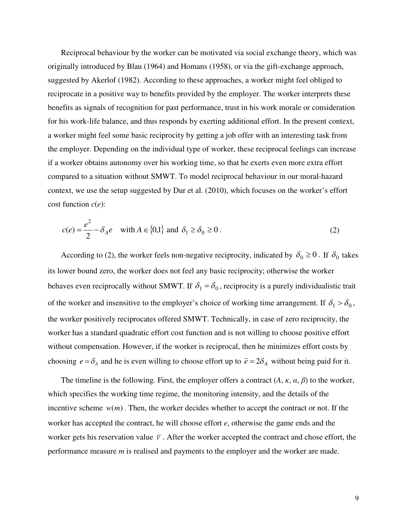Reciprocal behaviour by the worker can be motivated via social exchange theory, which was originally introduced by Blau (1964) and Homans (1958), or via the gift-exchange approach, suggested by Akerlof (1982). According to these approaches, a worker might feel obliged to reciprocate in a positive way to benefits provided by the employer. The worker interprets these benefits as signals of recognition for past performance, trust in his work morale or consideration for his work-life balance, and thus responds by exerting additional effort. In the present context, a worker might feel some basic reciprocity by getting a job offer with an interesting task from the employer. Depending on the individual type of worker, these reciprocal feelings can increase if a worker obtains autonomy over his working time, so that he exerts even more extra effort compared to a situation without SMWT. To model reciprocal behaviour in our moral-hazard context, we use the setup suggested by Dur et al. (2010), which focuses on the worker's effort cost function *c*(*e*):

$$
c(e) = \frac{e^2}{2} - \delta_A e \quad \text{with } A \in \{0, 1\} \text{ and } \delta_1 \ge \delta_0 \ge 0 \,. \tag{2}
$$

According to (2), the worker feels non-negative reciprocity, indicated by  $\delta_0 \ge 0$ . If  $\delta_0$  takes its lower bound zero, the worker does not feel any basic reciprocity; otherwise the worker behaves even reciprocally without SMWT. If  $\delta_1 = \delta_0$ , reciprocity is a purely individualistic trait of the worker and insensitive to the employer's choice of working time arrangement. If  $\delta_1 > \delta_0$ , the worker positively reciprocates offered SMWT. Technically, in case of zero reciprocity, the worker has a standard quadratic effort cost function and is not willing to choose positive effort without compensation. However, if the worker is reciprocal, then he minimizes effort costs by choosing  $e = \delta_A$  and he is even willing to choose effort up to  $\bar{e} = 2\delta_A$  without being paid for it.

The timeline is the following. First, the employer offers a contract (*A*, *κ*, *α*, *β*) to the worker, which specifies the working time regime, the monitoring intensity, and the details of the incentive scheme  $w(m)$ . Then, the worker decides whether to accept the contract or not. If the worker has accepted the contract, he will choose effort *e*, otherwise the game ends and the worker gets his reservation value  $\bar{v}$ . After the worker accepted the contract and chose effort, the performance measure *m* is realised and payments to the employer and the worker are made.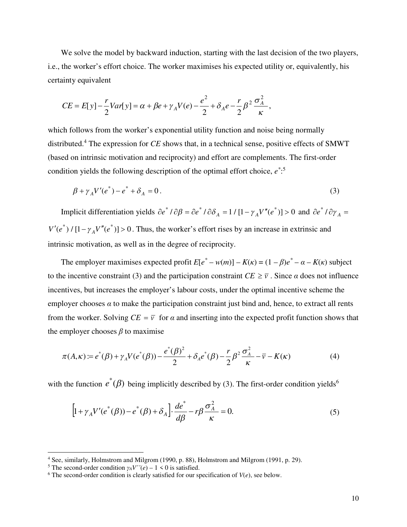We solve the model by backward induction, starting with the last decision of the two players, i.e., the worker's effort choice. The worker maximises his expected utility or, equivalently, his certainty equivalent

$$
CE = E[y] - \frac{r}{2}Var[y] = \alpha + \beta e + \gamma_A V(e) - \frac{e^2}{2} + \delta_A e - \frac{r}{2} \beta^2 \frac{\sigma_A^2}{\kappa},
$$

which follows from the worker's exponential utility function and noise being normally distributed.<sup>4</sup> The expression for *CE* shows that, in a technical sense, positive effects of SMWT (based on intrinsic motivation and reciprocity) and effort are complements. The first-order condition yields the following description of the optimal effort choice, *e \** : 5

$$
\beta + \gamma_A V'(e^*) - e^* + \delta_A = 0.
$$
\n(3)

Implicit differentiation yields  $\partial e^* / \partial \beta = \partial e^* / \partial \delta_A = 1 / [1 - \gamma_A V''(e^*)] > 0$  and  $\partial e^* / \partial \gamma_A =$  $V'(e^*) / [1 - \gamma_A V''(e^*)] > 0$ . Thus, the worker's effort rises by an increase in extrinsic and intrinsic motivation, as well as in the degree of reciprocity.

The employer maximises expected profit  $E[e^* - w(m)] - K(\kappa) = (1 - \beta)e^* - \alpha - K(\kappa)$  subject to the incentive constraint (3) and the participation constraint  $CE \geq \overline{v}$ . Since *α* does not influence incentives, but increases the employer's labour costs, under the optimal incentive scheme the employer chooses  $\alpha$  to make the participation constraint just bind and, hence, to extract all rents from the worker. Solving  $CE = \overline{v}$  for  $\alpha$  and inserting into the expected profit function shows that the employer chooses *β* to maximise

$$
\pi(A,\kappa) := e^*(\beta) + \gamma_A V(e^*(\beta)) - \frac{e^*(\beta)^2}{2} + \delta_A e^*(\beta) - \frac{r}{2}\beta^2 \frac{\sigma_A^2}{\kappa} - \overline{v} - K(\kappa)
$$
(4)

with the function  $e^*(\beta)$  being implicitly described by (3). The first-order condition yields<sup>6</sup>

$$
\left[1+\gamma_A V'(e^*(\beta)) - e^*(\beta) + \delta_A\right] \cdot \frac{de^*}{d\beta} - r\beta \frac{\sigma_A^2}{\kappa} = 0. \tag{5}
$$

<sup>4</sup> See, similarly, Holmstrom and Milgrom (1990, p. 88), Holmstrom and Milgrom (1991, p. 29).

<sup>&</sup>lt;sup>5</sup> The second-order condition  $\gamma_A V^{\prime\prime}(e) - 1 \le 0$  is satisfied.

 $6$  The second-order condition is clearly satisfied for our specification of  $V(e)$ , see below.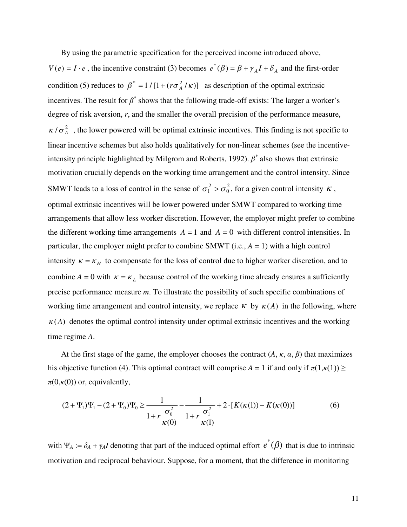By using the parametric specification for the perceived income introduced above,

 $V(e) = I \cdot e$ , the incentive constraint (3) becomes  $e^*(\beta) = \beta + \gamma_A I + \delta_A$  and the first-order condition (5) reduces to  $\beta^* = 1/[1 + (r\sigma_A^2 / \kappa)]$  as description of the optimal extrinsic incentives. The result for  $\beta^*$  shows that the following trade-off exists: The larger a worker's degree of risk aversion, *r*, and the smaller the overall precision of the performance measure,  $\kappa/\sigma_A^2$ , the lower powered will be optimal extrinsic incentives. This finding is not specific to linear incentive schemes but also holds qualitatively for non-linear schemes (see the incentiveintensity principle highlighted by Milgrom and Roberts, 1992). *β \** also shows that extrinsic motivation crucially depends on the working time arrangement and the control intensity. Since SMWT leads to a loss of control in the sense of  $\sigma_1^2 > \sigma_0^2$ , for a given control intensity  $\kappa$ , optimal extrinsic incentives will be lower powered under SMWT compared to working time arrangements that allow less worker discretion. However, the employer might prefer to combine the different working time arrangements  $A = 1$  and  $A = 0$  with different control intensities. In particular, the employer might prefer to combine SMWT (i.e.,  $A = 1$ ) with a high control intensity  $\kappa = \kappa_H$  to compensate for the loss of control due to higher worker discretion, and to combine  $A = 0$  with  $\kappa = \kappa_L$  because control of the working time already ensures a sufficiently precise performance measure *m*. To illustrate the possibility of such specific combinations of working time arrangement and control intensity, we replace  $\kappa$  by  $\kappa(A)$  in the following, where  $\kappa(A)$  denotes the optimal control intensity under optimal extrinsic incentives and the working time regime *A*.

At the first stage of the game, the employer chooses the contract  $(A, \kappa, \alpha, \beta)$  that maximizes his objective function (4). This optimal contract will comprise  $A = 1$  if and only if  $\pi(1,\kappa(1)) \ge$  $\pi(0,\kappa(0))$  or, equivalently,

$$
(2 + \Psi_1)\Psi_1 - (2 + \Psi_0)\Psi_0 \ge \frac{1}{1 + r\frac{\sigma_0^2}{\kappa(0)}} - \frac{1}{1 + r\frac{\sigma_1^2}{\kappa(1)}} + 2 \cdot [K(\kappa(1)) - K(\kappa(0))]
$$
(6)

with  $\Psi_A := \delta_A + \gamma_A I$  denoting that part of the induced optimal effort  $e^*(\beta)$  that is due to intrinsic motivation and reciprocal behaviour. Suppose, for a moment, that the difference in monitoring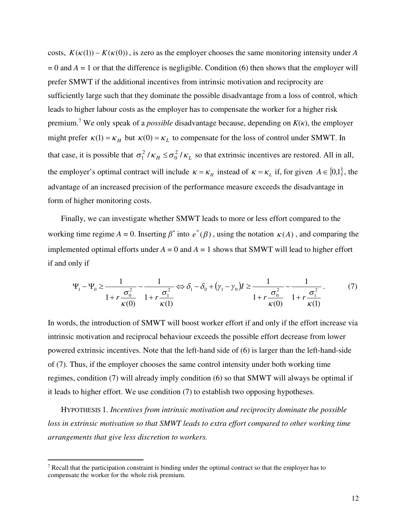costs,  $K(\kappa(1)) - K(\kappa(0))$ , is zero as the employer chooses the same monitoring intensity under *A*  $= 0$  and  $A = 1$  or that the difference is negligible. Condition (6) then shows that the employer will prefer SMWT if the additional incentives from intrinsic motivation and reciprocity are sufficiently large such that they dominate the possible disadvantage from a loss of control, which leads to higher labour costs as the employer has to compensate the worker for a higher risk premium.<sup>7</sup> We only speak of a *possible* disadvantage because, depending on *K*(*κ*), the employer might prefer  $\kappa(1) = \kappa_H$  but  $\kappa(0) = \kappa_L$  to compensate for the loss of control under SMWT. In that case, it is possible that  $\sigma_1^2 / \kappa_H \le \sigma_0^2 / \kappa_L$  $\boldsymbol{0}$  $\frac{2}{1}$  /  $\kappa_H \le \sigma_0^2$  /  $\kappa_L$  so that extrinsic incentives are restored. All in all, the employer's optimal contract will include  $\kappa = \kappa_H$  instead of  $\kappa = \kappa_L$  if, for given  $A \in \{0,1\}$ , the advantage of an increased precision of the performance measure exceeds the disadvantage in form of higher monitoring costs.

Finally, we can investigate whether SMWT leads to more or less effort compared to the working time regime  $A = 0$ . Inserting  $\beta^*$  into  $e^*(\beta)$ , using the notation  $\kappa(A)$ , and comparing the implemented optimal efforts under  $A = 0$  and  $A = 1$  shows that SMWT will lead to higher effort if and only if

$$
\Psi_1 - \Psi_0 \ge \frac{1}{1 + r \frac{\sigma_0^2}{\kappa(0)}} - \frac{1}{1 + r \frac{\sigma_1^2}{\kappa(1)}} \Leftrightarrow \delta_1 - \delta_0 + (\gamma_1 - \gamma_0)I \ge \frac{1}{1 + r \frac{\sigma_0^2}{\kappa(0)}} - \frac{1}{1 + r \frac{\sigma_1^2}{\kappa(1)}}.
$$
(7)

In words, the introduction of SMWT will boost worker effort if and only if the effort increase via intrinsic motivation and reciprocal behaviour exceeds the possible effort decrease from lower powered extrinsic incentives. Note that the left-hand side of (6) is larger than the left-hand-side of (7). Thus, if the employer chooses the same control intensity under both working time regimes, condition (7) will already imply condition (6) so that SMWT will always be optimal if it leads to higher effort. We use condition (7) to establish two opposing hypotheses.

HYPOTHESIS 1. *Incentives from intrinsic motivation and reciprocity dominate the possible loss in extrinsic motivation so that SMWT leads to extra effort compared to other working time arrangements that give less discretion to workers.*

 $<sup>7</sup>$  Recall that the participation constraint is binding under the optimal contract so that the employer has to</sup> compensate the worker for the whole risk premium.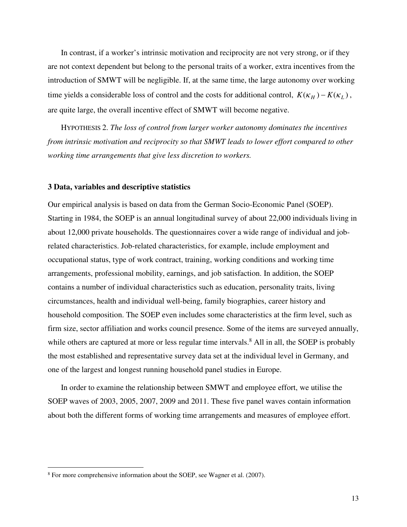In contrast, if a worker's intrinsic motivation and reciprocity are not very strong, or if they are not context dependent but belong to the personal traits of a worker, extra incentives from the introduction of SMWT will be negligible. If, at the same time, the large autonomy over working time yields a considerable loss of control and the costs for additional control,  $K(\kappa_H) - K(\kappa_L)$ , are quite large, the overall incentive effect of SMWT will become negative.

HYPOTHESIS 2. *The loss of control from larger worker autonomy dominates the incentives from intrinsic motivation and reciprocity so that SMWT leads to lower effort compared to other working time arrangements that give less discretion to workers.*

## **3 Data, variables and descriptive statistics**

Our empirical analysis is based on data from the German Socio-Economic Panel (SOEP). Starting in 1984, the SOEP is an annual longitudinal survey of about 22,000 individuals living in about 12,000 private households. The questionnaires cover a wide range of individual and jobrelated characteristics. Job-related characteristics, for example, include employment and occupational status, type of work contract, training, working conditions and working time arrangements, professional mobility, earnings, and job satisfaction. In addition, the SOEP contains a number of individual characteristics such as education, personality traits, living circumstances, health and individual well-being, family biographies, career history and household composition. The SOEP even includes some characteristics at the firm level, such as firm size, sector affiliation and works council presence. Some of the items are surveyed annually, while others are captured at more or less regular time intervals.<sup>8</sup> All in all, the SOEP is probably the most established and representative survey data set at the individual level in Germany, and one of the largest and longest running household panel studies in Europe.

In order to examine the relationship between SMWT and employee effort, we utilise the SOEP waves of 2003, 2005, 2007, 2009 and 2011. These five panel waves contain information about both the different forms of working time arrangements and measures of employee effort.

<sup>8</sup> For more comprehensive information about the SOEP, see Wagner et al. (2007).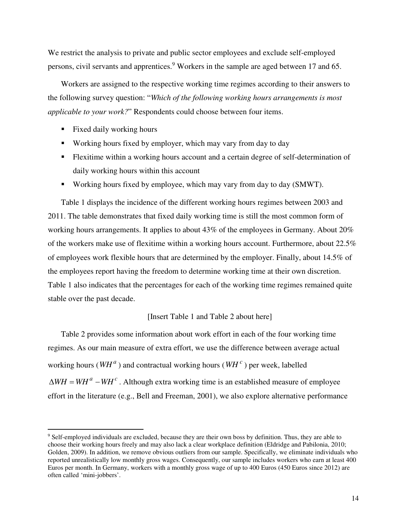We restrict the analysis to private and public sector employees and exclude self-employed persons, civil servants and apprentices.<sup>9</sup> Workers in the sample are aged between 17 and 65.

Workers are assigned to the respective working time regimes according to their answers to the following survey question: "*Which of the following working hours arrangements is most applicable to your work?*" Respondents could choose between four items.

- Fixed daily working hours
- Working hours fixed by employer, which may vary from day to day
- **Flexitime within a working hours account and a certain degree of self-determination of** daily working hours within this account
- Working hours fixed by employee, which may vary from day to day (SMWT).

Table 1 displays the incidence of the different working hours regimes between 2003 and 2011. The table demonstrates that fixed daily working time is still the most common form of working hours arrangements. It applies to about 43% of the employees in Germany. About 20% of the workers make use of flexitime within a working hours account. Furthermore, about 22.5% of employees work flexible hours that are determined by the employer. Finally, about 14.5% of the employees report having the freedom to determine working time at their own discretion. Table 1 also indicates that the percentages for each of the working time regimes remained quite stable over the past decade.

#### [Insert Table 1 and Table 2 about here]

Table 2 provides some information about work effort in each of the four working time regimes. As our main measure of extra effort, we use the difference between average actual working hours ( $WH^a$ ) and contractual working hours ( $WH^c$ ) per week, labelled  $\Delta WH = WH^a - WH^c$ . Although extra working time is an established measure of employee effort in the literature (e.g., Bell and Freeman, 2001), we also explore alternative performance

<sup>9</sup> Self-employed individuals are excluded, because they are their own boss by definition. Thus, they are able to choose their working hours freely and may also lack a clear workplace definition (Eldridge and Pabilonia, 2010; Golden, 2009). In addition, we remove obvious outliers from our sample. Specifically, we eliminate individuals who reported unrealistically low monthly gross wages. Consequently, our sample includes workers who earn at least 400 Euros per month. In Germany, workers with a monthly gross wage of up to 400 Euros (450 Euros since 2012) are often called 'mini-jobbers'.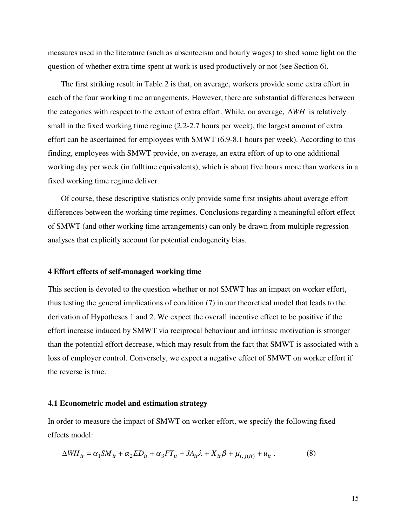measures used in the literature (such as absenteeism and hourly wages) to shed some light on the question of whether extra time spent at work is used productively or not (see Section 6).

The first striking result in Table 2 is that, on average, workers provide some extra effort in each of the four working time arrangements. However, there are substantial differences between the categories with respect to the extent of extra effort. While, on average,  $\Delta WH$  is relatively small in the fixed working time regime (2.2-2.7 hours per week), the largest amount of extra effort can be ascertained for employees with SMWT (6.9-8.1 hours per week). According to this finding, employees with SMWT provide, on average, an extra effort of up to one additional working day per week (in fulltime equivalents), which is about five hours more than workers in a fixed working time regime deliver.

Of course, these descriptive statistics only provide some first insights about average effort differences between the working time regimes. Conclusions regarding a meaningful effort effect of SMWT (and other working time arrangements) can only be drawn from multiple regression analyses that explicitly account for potential endogeneity bias.

#### **4 Effort effects of self-managed working time**

This section is devoted to the question whether or not SMWT has an impact on worker effort, thus testing the general implications of condition (7) in our theoretical model that leads to the derivation of Hypotheses 1 and 2. We expect the overall incentive effect to be positive if the effort increase induced by SMWT via reciprocal behaviour and intrinsic motivation is stronger than the potential effort decrease, which may result from the fact that SMWT is associated with a loss of employer control. Conversely, we expect a negative effect of SMWT on worker effort if the reverse is true.

# **4.1 Econometric model and estimation strategy**

In order to measure the impact of SMWT on worker effort, we specify the following fixed effects model:

$$
\Delta WH_{it} = \alpha_1 SM_{it} + \alpha_2 ED_{it} + \alpha_3 FT_{it} + JA_{it}\lambda + X_{it}\beta + \mu_{i,j(it)} + u_{it} \tag{8}
$$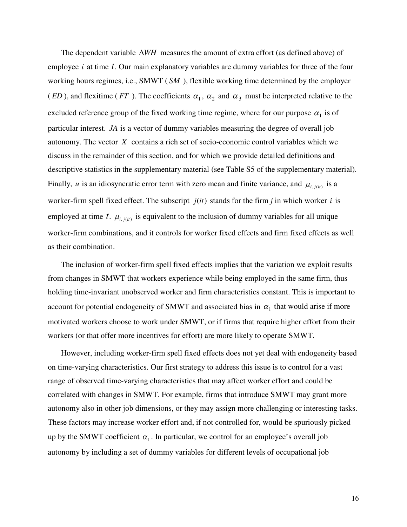The dependent variable  $\Delta WH$  measures the amount of extra effort (as defined above) of employee *i* at time *t*. Our main explanatory variables are dummy variables for three of the four working hours regimes, i.e., SMWT ( *SM* ), flexible working time determined by the employer (*ED*), and flexitime (*FT*). The coefficients  $\alpha_1$ ,  $\alpha_2$  and  $\alpha_3$  must be interpreted relative to the excluded reference group of the fixed working time regime, where for our purpose  $\alpha_1$  is of particular interest. *JA* is a vector of dummy variables measuring the degree of overall job autonomy. The vector *X* contains a rich set of socio-economic control variables which we discuss in the remainder of this section, and for which we provide detailed definitions and descriptive statistics in the supplementary material (see Table S5 of the supplementary material). Finally, *u* is an idiosyncratic error term with zero mean and finite variance, and  $\mu_{i,j(i)}$  is a worker-firm spell fixed effect. The subscript  $j(it)$  stands for the firm *j* in which worker *i* is employed at time *t*.  $\mu_{i,j(i)}$  is equivalent to the inclusion of dummy variables for all unique worker-firm combinations, and it controls for worker fixed effects and firm fixed effects as well as their combination.

The inclusion of worker-firm spell fixed effects implies that the variation we exploit results from changes in SMWT that workers experience while being employed in the same firm, thus holding time-invariant unobserved worker and firm characteristics constant. This is important to account for potential endogeneity of SMWT and associated bias in  $\alpha_1$  that would arise if more motivated workers choose to work under SMWT, or if firms that require higher effort from their workers (or that offer more incentives for effort) are more likely to operate SMWT.

However, including worker-firm spell fixed effects does not yet deal with endogeneity based on time-varying characteristics. Our first strategy to address this issue is to control for a vast range of observed time-varying characteristics that may affect worker effort and could be correlated with changes in SMWT. For example, firms that introduce SMWT may grant more autonomy also in other job dimensions, or they may assign more challenging or interesting tasks. These factors may increase worker effort and, if not controlled for, would be spuriously picked up by the SMWT coefficient  $\alpha_1$ . In particular, we control for an employee's overall job autonomy by including a set of dummy variables for different levels of occupational job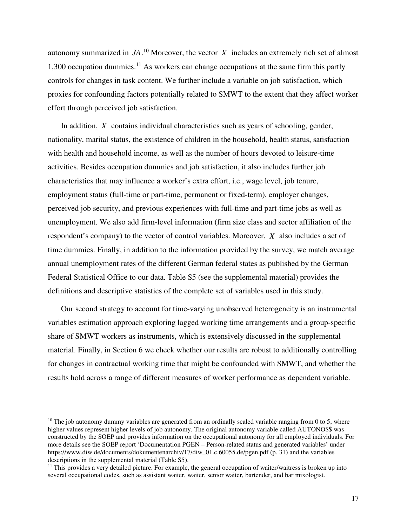autonomy summarized in *JA*. <sup>10</sup> Moreover, the vector *X* includes an extremely rich set of almost 1,300 occupation dummies.<sup>11</sup> As workers can change occupations at the same firm this partly controls for changes in task content. We further include a variable on job satisfaction, which proxies for confounding factors potentially related to SMWT to the extent that they affect worker effort through perceived job satisfaction.

In addition, *X* contains individual characteristics such as years of schooling, gender, nationality, marital status, the existence of children in the household, health status, satisfaction with health and household income, as well as the number of hours devoted to leisure-time activities. Besides occupation dummies and job satisfaction, it also includes further job characteristics that may influence a worker's extra effort, i.e., wage level, job tenure, employment status (full-time or part-time, permanent or fixed-term), employer changes, perceived job security, and previous experiences with full-time and part-time jobs as well as unemployment. We also add firm-level information (firm size class and sector affiliation of the respondent's company) to the vector of control variables. Moreover, *X* also includes a set of time dummies. Finally, in addition to the information provided by the survey, we match average annual unemployment rates of the different German federal states as published by the German Federal Statistical Office to our data. Table S5 (see the supplemental material) provides the definitions and descriptive statistics of the complete set of variables used in this study.

Our second strategy to account for time-varying unobserved heterogeneity is an instrumental variables estimation approach exploring lagged working time arrangements and a group-specific share of SMWT workers as instruments, which is extensively discussed in the supplemental material. Finally, in Section 6 we check whether our results are robust to additionally controlling for changes in contractual working time that might be confounded with SMWT, and whether the results hold across a range of different measures of worker performance as dependent variable.

 $10$  The job autonomy dummy variables are generated from an ordinally scaled variable ranging from 0 to 5, where higher values represent higher levels of job autonomy. The original autonomy variable called AUTONO\$\$ was constructed by the SOEP and provides information on the occupational autonomy for all employed individuals. For more details see the SOEP report 'Documentation PGEN – Person-related status and generated variables' under https://www.diw.de/documents/dokumentenarchiv/17/diw\_01.c.60055.de/pgen.pdf (p. 31) and the variables descriptions in the supplemental material (Table S5).

 $11$  This provides a very detailed picture. For example, the general occupation of waiter/waitress is broken up into several occupational codes, such as assistant waiter, waiter, senior waiter, bartender, and bar mixologist.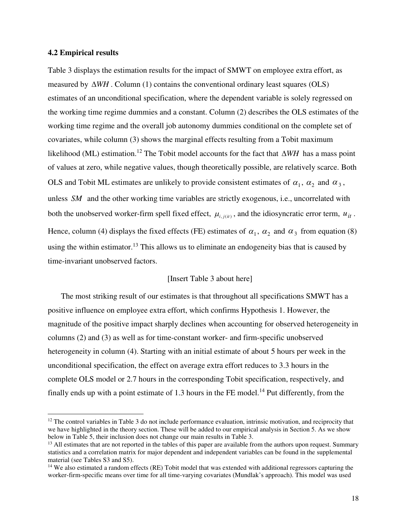## **4.2 Empirical results**

Table 3 displays the estimation results for the impact of SMWT on employee extra effort, as measured by  $\Delta WH$ . Column (1) contains the conventional ordinary least squares (OLS) estimates of an unconditional specification, where the dependent variable is solely regressed on the working time regime dummies and a constant. Column (2) describes the OLS estimates of the working time regime and the overall job autonomy dummies conditional on the complete set of covariates, while column (3) shows the marginal effects resulting from a Tobit maximum likelihood (ML) estimation.<sup>12</sup> The Tobit model accounts for the fact that  $\Delta WH$  has a mass point of values at zero, while negative values, though theoretically possible, are relatively scarce. Both OLS and Tobit ML estimates are unlikely to provide consistent estimates of  $\alpha_1$ ,  $\alpha_2$  and  $\alpha_3$ , unless *SM* and the other working time variables are strictly exogenous, i.e., uncorrelated with both the unobserved worker-firm spell fixed effect,  $\mu_{i,j(i)}$ , and the idiosyncratic error term,  $u_{it}$ . Hence, column (4) displays the fixed effects (FE) estimates of  $\alpha_1$ ,  $\alpha_2$  and  $\alpha_3$  from equation (8) using the within estimator.<sup>13</sup> This allows us to eliminate an endogeneity bias that is caused by time-invariant unobserved factors.

# [Insert Table 3 about here]

The most striking result of our estimates is that throughout all specifications SMWT has a positive influence on employee extra effort, which confirms Hypothesis 1. However, the magnitude of the positive impact sharply declines when accounting for observed heterogeneity in columns (2) and (3) as well as for time-constant worker- and firm-specific unobserved heterogeneity in column (4). Starting with an initial estimate of about 5 hours per week in the unconditional specification, the effect on average extra effort reduces to 3.3 hours in the complete OLS model or 2.7 hours in the corresponding Tobit specification, respectively, and finally ends up with a point estimate of 1.3 hours in the FE model.<sup>14</sup> Put differently, from the

 $12$  The control variables in Table 3 do not include performance evaluation, intrinsic motivation, and reciprocity that we have highlighted in the theory section. These will be added to our empirical analysis in Section 5. As we show below in Table 5, their inclusion does not change our main results in Table 3.

 $<sup>13</sup>$  All estimates that are not reported in the tables of this paper are available from the authors upon request. Summary</sup> statistics and a correlation matrix for major dependent and independent variables can be found in the supplemental material (see Tables S3 and S5).

 $14$  We also estimated a random effects (RE) Tobit model that was extended with additional regressors capturing the worker-firm-specific means over time for all time-varying covariates (Mundlak's approach). This model was used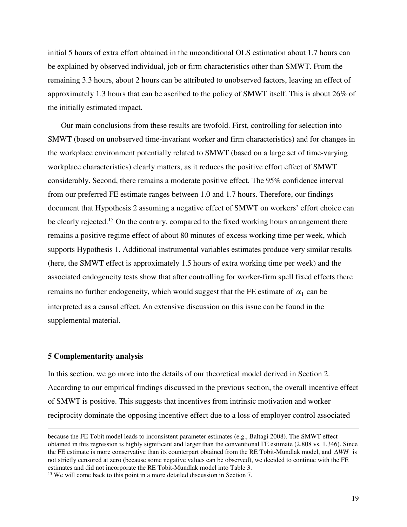initial 5 hours of extra effort obtained in the unconditional OLS estimation about 1.7 hours can be explained by observed individual, job or firm characteristics other than SMWT. From the remaining 3.3 hours, about 2 hours can be attributed to unobserved factors, leaving an effect of approximately 1.3 hours that can be ascribed to the policy of SMWT itself. This is about 26% of the initially estimated impact.

Our main conclusions from these results are twofold. First, controlling for selection into SMWT (based on unobserved time-invariant worker and firm characteristics) and for changes in the workplace environment potentially related to SMWT (based on a large set of time-varying workplace characteristics) clearly matters, as it reduces the positive effort effect of SMWT considerably. Second, there remains a moderate positive effect. The 95% confidence interval from our preferred FE estimate ranges between 1.0 and 1.7 hours. Therefore, our findings document that Hypothesis 2 assuming a negative effect of SMWT on workers' effort choice can be clearly rejected.<sup>15</sup> On the contrary, compared to the fixed working hours arrangement there remains a positive regime effect of about 80 minutes of excess working time per week, which supports Hypothesis 1. Additional instrumental variables estimates produce very similar results (here, the SMWT effect is approximately 1.5 hours of extra working time per week) and the associated endogeneity tests show that after controlling for worker-firm spell fixed effects there remains no further endogeneity, which would suggest that the FE estimate of  $\alpha_1$  can be interpreted as a causal effect. An extensive discussion on this issue can be found in the supplemental material.

# **5 Complementarity analysis**

In this section, we go more into the details of our theoretical model derived in Section 2. According to our empirical findings discussed in the previous section, the overall incentive effect of SMWT is positive. This suggests that incentives from intrinsic motivation and worker reciprocity dominate the opposing incentive effect due to a loss of employer control associated

because the FE Tobit model leads to inconsistent parameter estimates (e.g., Baltagi 2008). The SMWT effect obtained in this regression is highly significant and larger than the conventional FE estimate (2.808 vs. 1.346). Since the FE estimate is more conservative than its counterpart obtained from the RE Tobit-Mundlak model, and *WH* is not strictly censored at zero (because some negative values can be observed), we decided to continue with the FE estimates and did not incorporate the RE Tobit-Mundlak model into Table 3.

<sup>&</sup>lt;sup>15</sup> We will come back to this point in a more detailed discussion in Section 7.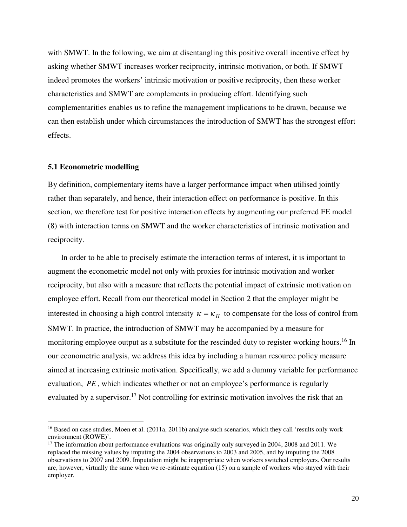with SMWT. In the following, we aim at disentangling this positive overall incentive effect by asking whether SMWT increases worker reciprocity, intrinsic motivation, or both. If SMWT indeed promotes the workers' intrinsic motivation or positive reciprocity, then these worker characteristics and SMWT are complements in producing effort. Identifying such complementarities enables us to refine the management implications to be drawn, because we can then establish under which circumstances the introduction of SMWT has the strongest effort effects.

#### **5.1 Econometric modelling**

By definition, complementary items have a larger performance impact when utilised jointly rather than separately, and hence, their interaction effect on performance is positive. In this section, we therefore test for positive interaction effects by augmenting our preferred FE model (8) with interaction terms on SMWT and the worker characteristics of intrinsic motivation and reciprocity.

In order to be able to precisely estimate the interaction terms of interest, it is important to augment the econometric model not only with proxies for intrinsic motivation and worker reciprocity, but also with a measure that reflects the potential impact of extrinsic motivation on employee effort. Recall from our theoretical model in Section 2 that the employer might be interested in choosing a high control intensity  $\kappa = \kappa_H$  to compensate for the loss of control from SMWT. In practice, the introduction of SMWT may be accompanied by a measure for monitoring employee output as a substitute for the rescinded duty to register working hours.<sup>16</sup> In our econometric analysis, we address this idea by including a human resource policy measure aimed at increasing extrinsic motivation. Specifically, we add a dummy variable for performance evaluation, *PE* , which indicates whether or not an employee's performance is regularly evaluated by a supervisor.<sup>17</sup> Not controlling for extrinsic motivation involves the risk that an

<sup>&</sup>lt;sup>16</sup> Based on case studies, Moen et al. (2011a, 2011b) analyse such scenarios, which they call 'results only work environment (ROWE)'.

 $17$  The information about performance evaluations was originally only surveyed in 2004, 2008 and 2011. We replaced the missing values by imputing the 2004 observations to 2003 and 2005, and by imputing the 2008 observations to 2007 and 2009. Imputation might be inappropriate when workers switched employers. Our results are, however, virtually the same when we re-estimate equation (15) on a sample of workers who stayed with their employer.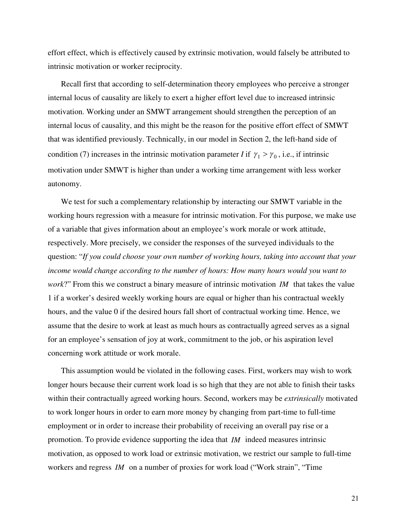effort effect, which is effectively caused by extrinsic motivation, would falsely be attributed to intrinsic motivation or worker reciprocity.

Recall first that according to self-determination theory employees who perceive a stronger internal locus of causality are likely to exert a higher effort level due to increased intrinsic motivation. Working under an SMWT arrangement should strengthen the perception of an internal locus of causality, and this might be the reason for the positive effort effect of SMWT that was identified previously. Technically, in our model in Section 2, the left-hand side of condition (7) increases in the intrinsic motivation parameter *I* if  $\gamma_1 > \gamma_0$ , i.e., if intrinsic motivation under SMWT is higher than under a working time arrangement with less worker autonomy.

We test for such a complementary relationship by interacting our SMWT variable in the working hours regression with a measure for intrinsic motivation. For this purpose, we make use of a variable that gives information about an employee's work morale or work attitude, respectively. More precisely, we consider the responses of the surveyed individuals to the question: "*If you could choose your own number of working hours, taking into account that your income would change according to the number of hours: How many hours would you want to work*?" From this we construct a binary measure of intrinsic motivation *IM* that takes the value 1 if a worker's desired weekly working hours are equal or higher than his contractual weekly hours, and the value 0 if the desired hours fall short of contractual working time. Hence, we assume that the desire to work at least as much hours as contractually agreed serves as a signal for an employee's sensation of joy at work, commitment to the job, or his aspiration level concerning work attitude or work morale.

This assumption would be violated in the following cases. First, workers may wish to work longer hours because their current work load is so high that they are not able to finish their tasks within their contractually agreed working hours. Second, workers may be *extrinsically* motivated to work longer hours in order to earn more money by changing from part-time to full-time employment or in order to increase their probability of receiving an overall pay rise or a promotion. To provide evidence supporting the idea that *IM* indeed measures intrinsic motivation, as opposed to work load or extrinsic motivation, we restrict our sample to full-time workers and regress *IM* on a number of proxies for work load ("Work strain", "Time

21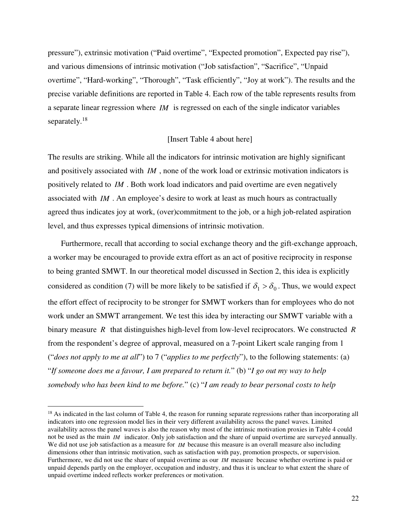pressure"), extrinsic motivation ("Paid overtime", "Expected promotion", Expected pay rise"), and various dimensions of intrinsic motivation ("Job satisfaction", "Sacrifice", "Unpaid overtime", "Hard-working", "Thorough", "Task efficiently", "Joy at work"). The results and the precise variable definitions are reported in Table 4. Each row of the table represents results from a separate linear regression where *IM* is regressed on each of the single indicator variables separately.<sup>18</sup>

# [Insert Table 4 about here]

The results are striking. While all the indicators for intrinsic motivation are highly significant and positively associated with *IM* , none of the work load or extrinsic motivation indicators is positively related to *IM* . Both work load indicators and paid overtime are even negatively associated with *IM* . An employee's desire to work at least as much hours as contractually agreed thus indicates joy at work, (over)commitment to the job, or a high job-related aspiration level, and thus expresses typical dimensions of intrinsic motivation.

Furthermore, recall that according to social exchange theory and the gift-exchange approach, a worker may be encouraged to provide extra effort as an act of positive reciprocity in response to being granted SMWT. In our theoretical model discussed in Section 2, this idea is explicitly considered as condition (7) will be more likely to be satisfied if  $\delta_1 > \delta_0$ . Thus, we would expect the effort effect of reciprocity to be stronger for SMWT workers than for employees who do not work under an SMWT arrangement. We test this idea by interacting our SMWT variable with a binary measure *R* that distinguishes high-level from low-level reciprocators. We constructed *R* from the respondent's degree of approval, measured on a 7-point Likert scale ranging from 1 ("*does not apply to me at all*") to 7 ("*applies to me perfectly*"), to the following statements: (a) "*If someone does me a favour, I am prepared to return it.*" (b) "*I go out my way to help somebody who has been kind to me before.*" (c) "*I am ready to bear personal costs to help*

<sup>&</sup>lt;sup>18</sup> As indicated in the last column of Table 4, the reason for running separate regressions rather than incorporating all indicators into one regression model lies in their very different availability across the panel waves. Limited availability across the panel waves is also the reason why most of the intrinsic motivation proxies in Table 4 could not be used as the main *IM* indicator. Only job satisfaction and the share of unpaid overtime are surveyed annually. We did not use job satisfaction as a measure for *IM* because this measure is an overall measure also including dimensions other than intrinsic motivation, such as satisfaction with pay, promotion prospects, or supervision. Furthermore, we did not use the share of unpaid overtime as our *IM* measure because whether overtime is paid or unpaid depends partly on the employer, occupation and industry, and thus it is unclear to what extent the share of unpaid overtime indeed reflects worker preferences or motivation.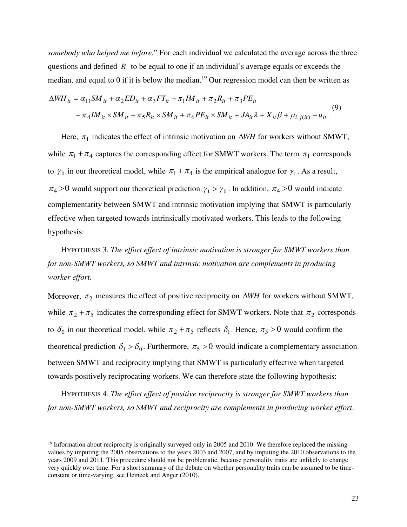*somebody who helped me before.*" For each individual we calculated the average across the three questions and defined *R* to be equal to one if an individual's average equals or exceeds the median, and equal to 0 if it is below the median.<sup>19</sup> Our regression model can then be written as

$$
\Delta WH_{it} = \alpha_{11}SM_{it} + \alpha_{2}ED_{it} + \alpha_{3}FT_{it} + \pi_{1}IM_{it} + \pi_{2}R_{it} + \pi_{3}PE_{it}
$$
  
+  $\pi_{4}IM_{it} \times SM_{it} + \pi_{5}R_{it} \times SM_{it} + \pi_{6}PE_{it} \times SM_{it} + JA_{it}\lambda + X_{it}\beta + \mu_{i,j(it)} + u_{it}$ . (9)

Here,  $\pi_1$  indicates the effect of intrinsic motivation on  $\Delta WH$  for workers without SMWT, while  $\pi_1 + \pi_4$  captures the corresponding effect for SMWT workers. The term  $\pi_1$  corresponds to  $\gamma_0$  in our theoretical model, while  $\pi_1 + \pi_4$  is the empirical analogue for  $\gamma_1$ . As a result,  $\pi_4 > 0$  would support our theoretical prediction  $\gamma_1 > \gamma_0$ . In addition,  $\pi_4 > 0$  would indicate complementarity between SMWT and intrinsic motivation implying that SMWT is particularly effective when targeted towards intrinsically motivated workers. This leads to the following hypothesis:

HYPOTHESIS 3. *The effort effect of intrinsic motivation is stronger for SMWT workers than for non-SMWT workers, so SMWT and intrinsic motivation are complements in producing worker effort*.

Moreover,  $\pi$ <sub>2</sub> measures the effect of positive reciprocity on  $\Delta WH$  for workers without SMWT, while  $\pi_2 + \pi_5$  indicates the corresponding effect for SMWT workers. Note that  $\pi_2$  corresponds to  $\delta_0$  in our theoretical model, while  $\pi_2 + \pi_5$  reflects  $\delta_1$ . Hence,  $\pi_5 > 0$  would confirm the theoretical prediction  $\delta_1 > \delta_0$ . Furthermore,  $\pi_5 > 0$  would indicate a complementary association between SMWT and reciprocity implying that SMWT is particularly effective when targeted towards positively reciprocating workers. We can therefore state the following hypothesis:

HYPOTHESIS 4. *The effort effect of positive reciprocity is stronger for SMWT workers than for non-SMWT workers, so SMWT and reciprocity are complements in producing worker effort*.

 $19$  Information about reciprocity is originally surveyed only in 2005 and 2010. We therefore replaced the missing values by imputing the 2005 observations to the years 2003 and 2007, and by imputing the 2010 observations to the years 2009 and 2011. This procedure should not be problematic, because personality traits are unlikely to change very quickly over time. For a short summary of the debate on whether personality traits can be assumed to be timeconstant or time-varying, see Heineck and Anger (2010).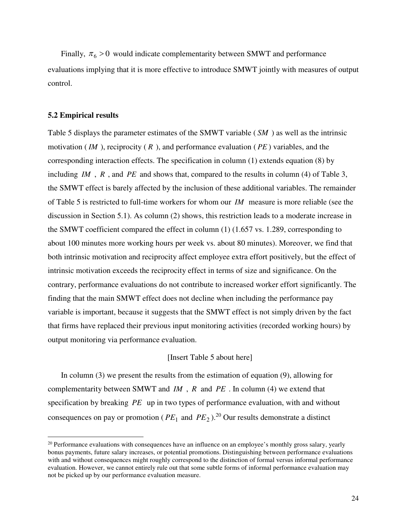Finally,  $\pi_6 > 0$  would indicate complementarity between SMWT and performance evaluations implying that it is more effective to introduce SMWT jointly with measures of output control.

# **5.2 Empirical results**

Table 5 displays the parameter estimates of the SMWT variable ( *SM* ) as well as the intrinsic motivation ( *IM* ), reciprocity ( *R* ), and performance evaluation ( *PE* ) variables, and the corresponding interaction effects. The specification in column (1) extends equation (8) by including *IM* , *R* , and *PE* and shows that, compared to the results in column (4) of Table 3, the SMWT effect is barely affected by the inclusion of these additional variables. The remainder of Table 5 is restricted to full-time workers for whom our *IM* measure is more reliable (see the discussion in Section 5.1). As column (2) shows, this restriction leads to a moderate increase in the SMWT coefficient compared the effect in column (1) (1.657 vs. 1.289, corresponding to about 100 minutes more working hours per week vs. about 80 minutes). Moreover, we find that both intrinsic motivation and reciprocity affect employee extra effort positively, but the effect of intrinsic motivation exceeds the reciprocity effect in terms of size and significance. On the contrary, performance evaluations do not contribute to increased worker effort significantly. The finding that the main SMWT effect does not decline when including the performance pay variable is important, because it suggests that the SMWT effect is not simply driven by the fact that firms have replaced their previous input monitoring activities (recorded working hours) by output monitoring via performance evaluation.

# [Insert Table 5 about here]

In column (3) we present the results from the estimation of equation (9), allowing for complementarity between SMWT and *IM* , *R* and *PE* . In column (4) we extend that specification by breaking *PE* up in two types of performance evaluation, with and without consequences on pay or promotion ( $PE_1$  and  $PE_2$ ).<sup>20</sup> Our results demonstrate a distinct

 $20$  Performance evaluations with consequences have an influence on an employee's monthly gross salary, yearly bonus payments, future salary increases, or potential promotions. Distinguishing between performance evaluations with and without consequences might roughly correspond to the distinction of formal versus informal performance evaluation. However, we cannot entirely rule out that some subtle forms of informal performance evaluation may not be picked up by our performance evaluation measure.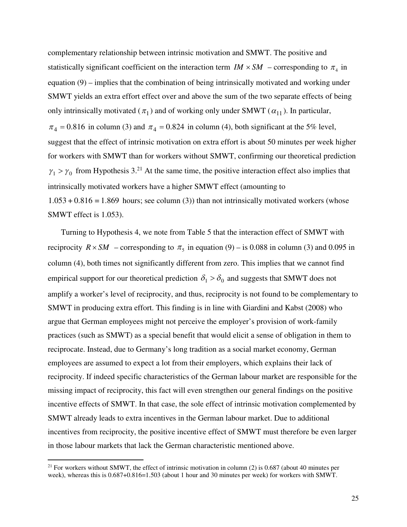complementary relationship between intrinsic motivation and SMWT. The positive and statistically significant coefficient on the interaction term  $IM \times SM$  – corresponding to  $\pi_4$  in equation (9) – implies that the combination of being intrinsically motivated and working under SMWT yields an extra effort effect over and above the sum of the two separate effects of being only intrinsically motivated ( $\pi_1$ ) and of working only under SMWT ( $\alpha_{11}$ ). In particular,

 $\pi_4$  = 0.816 in column (3) and  $\pi_4$  = 0.824 in column (4), both significant at the 5% level, suggest that the effect of intrinsic motivation on extra effort is about 50 minutes per week higher for workers with SMWT than for workers without SMWT, confirming our theoretical prediction  $\gamma_1 > \gamma_0$  from Hypothesis 3.<sup>21</sup> At the same time, the positive interaction effect also implies that intrinsically motivated workers have a higher SMWT effect (amounting to  $1.053 + 0.816 = 1.869$  hours; see column (3)) than not intrinsically motivated workers (whose SMWT effect is 1.053).

Turning to Hypothesis 4, we note from Table 5 that the interaction effect of SMWT with reciprocity  $R \times SM$  – corresponding to  $\pi_5$  in equation (9) – is 0.088 in column (3) and 0.095 in column (4), both times not significantly different from zero. This implies that we cannot find empirical support for our theoretical prediction  $\delta_1 > \delta_0$  and suggests that SMWT does not amplify a worker's level of reciprocity, and thus, reciprocity is not found to be complementary to SMWT in producing extra effort. This finding is in line with Giardini and Kabst (2008) who argue that German employees might not perceive the employer's provision of work-family practices (such as SMWT) as a special benefit that would elicit a sense of obligation in them to reciprocate. Instead, due to Germany's long tradition as a social market economy, German employees are assumed to expect a lot from their employers, which explains their lack of reciprocity. If indeed specific characteristics of the German labour market are responsible for the missing impact of reciprocity, this fact will even strengthen our general findings on the positive incentive effects of SMWT. In that case, the sole effect of intrinsic motivation complemented by SMWT already leads to extra incentives in the German labour market. Due to additional incentives from reciprocity, the positive incentive effect of SMWT must therefore be even larger in those labour markets that lack the German characteristic mentioned above.

<sup>&</sup>lt;sup>21</sup> For workers without SMWT, the effect of intrinsic motivation in column (2) is 0.687 (about 40 minutes per week), whereas this is  $0.687+0.816=1.503$  (about 1 hour and 30 minutes per week) for workers with SMWT.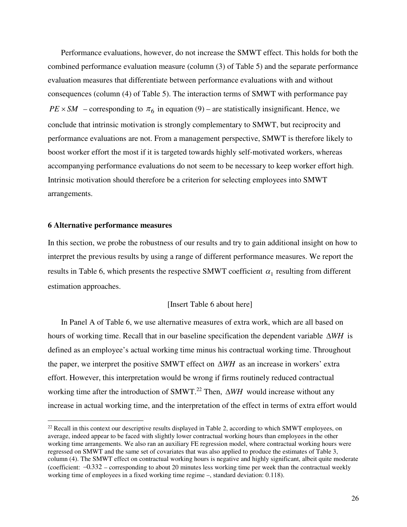Performance evaluations, however, do not increase the SMWT effect. This holds for both the combined performance evaluation measure (column (3) of Table 5) and the separate performance evaluation measures that differentiate between performance evaluations with and without consequences (column (4) of Table 5). The interaction terms of SMWT with performance pay  $PE \times SM$  – corresponding to  $\pi_6$  in equation (9) – are statistically insignificant. Hence, we conclude that intrinsic motivation is strongly complementary to SMWT, but reciprocity and performance evaluations are not. From a management perspective, SMWT is therefore likely to boost worker effort the most if it is targeted towards highly self-motivated workers, whereas accompanying performance evaluations do not seem to be necessary to keep worker effort high. Intrinsic motivation should therefore be a criterion for selecting employees into SMWT arrangements.

#### **6 Alternative performance measures**

In this section, we probe the robustness of our results and try to gain additional insight on how to interpret the previous results by using a range of different performance measures. We report the results in Table 6, which presents the respective SMWT coefficient  $\alpha_1$  resulting from different estimation approaches.

#### [Insert Table 6 about here]

In Panel A of Table 6, we use alternative measures of extra work, which are all based on hours of working time. Recall that in our baseline specification the dependent variable *WH* is defined as an employee's actual working time minus his contractual working time. Throughout the paper, we interpret the positive SMWT effect on  $\Delta WH$  as an increase in workers' extra effort. However, this interpretation would be wrong if firms routinely reduced contractual working time after the introduction of SMWT.<sup>22</sup> Then,  $\Delta WH$  would increase without any increase in actual working time, and the interpretation of the effect in terms of extra effort would

<sup>&</sup>lt;sup>22</sup> Recall in this context our descriptive results displayed in Table 2, according to which SMWT employees, on average, indeed appear to be faced with slightly lower contractual working hours than employees in the other working time arrangements. We also ran an auxiliary FE regression model, where contractual working hours were regressed on SMWT and the same set of covariates that was also applied to produce the estimates of Table 3, column (4). The SMWT effect on contractual working hours is negative and highly significant, albeit quite moderate (coefficient:  $-0.332$  – corresponding to about 20 minutes less working time per week than the contractual weekly working time of employees in a fixed working time regime –, standard deviation: 0.118).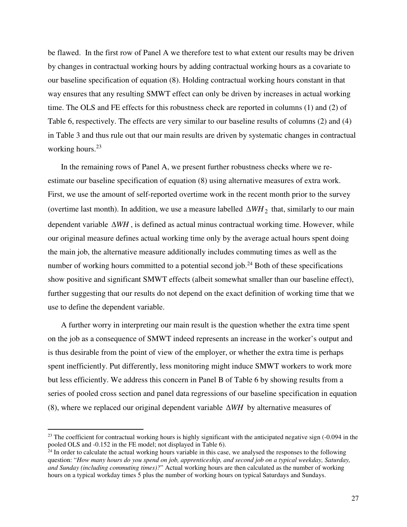be flawed. In the first row of Panel A we therefore test to what extent our results may be driven by changes in contractual working hours by adding contractual working hours as a covariate to our baseline specification of equation (8). Holding contractual working hours constant in that way ensures that any resulting SMWT effect can only be driven by increases in actual working time. The OLS and FE effects for this robustness check are reported in columns (1) and (2) of Table 6, respectively. The effects are very similar to our baseline results of columns (2) and (4) in Table 3 and thus rule out that our main results are driven by systematic changes in contractual working hours.<sup>23</sup>

In the remaining rows of Panel A, we present further robustness checks where we reestimate our baseline specification of equation (8) using alternative measures of extra work. First, we use the amount of self-reported overtime work in the recent month prior to the survey (overtime last month). In addition, we use a measure labelled  $\Delta WH_2$  that, similarly to our main dependent variable  $\Delta WH$ , is defined as actual minus contractual working time. However, while our original measure defines actual working time only by the average actual hours spent doing the main job, the alternative measure additionally includes commuting times as well as the number of working hours committed to a potential second job.<sup>24</sup> Both of these specifications show positive and significant SMWT effects (albeit somewhat smaller than our baseline effect), further suggesting that our results do not depend on the exact definition of working time that we use to define the dependent variable.

A further worry in interpreting our main result is the question whether the extra time spent on the job as a consequence of SMWT indeed represents an increase in the worker's output and is thus desirable from the point of view of the employer, or whether the extra time is perhaps spent inefficiently. Put differently, less monitoring might induce SMWT workers to work more but less efficiently. We address this concern in Panel B of Table 6 by showing results from a series of pooled cross section and panel data regressions of our baseline specification in equation (8), where we replaced our original dependent variable  $\Delta WH$  by alternative measures of

 $^{23}$  The coefficient for contractual working hours is highly significant with the anticipated negative sign  $(-0.094$  in the pooled OLS and -0.152 in the FE model; not displayed in Table 6).

 $^{\overline{2}4}$  In order to calculate the actual working hours variable in this case, we analysed the responses to the following question: "*How many hours do you spend on job, apprenticeship, and second job on a typical weekday, Saturday, and Sunday (including commuting times)?*" Actual working hours are then calculated as the number of working hours on a typical workday times 5 plus the number of working hours on typical Saturdays and Sundays.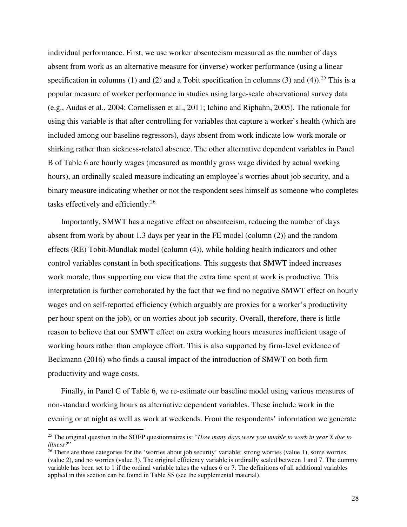individual performance. First, we use worker absenteeism measured as the number of days absent from work as an alternative measure for (inverse) worker performance (using a linear specification in columns (1) and (2) and a Tobit specification in columns (3) and (4)).<sup>25</sup> This is a popular measure of worker performance in studies using large-scale observational survey data (e.g., Audas et al., 2004; Cornelissen et al., 2011; Ichino and Riphahn, 2005). The rationale for using this variable is that after controlling for variables that capture a worker's health (which are included among our baseline regressors), days absent from work indicate low work morale or shirking rather than sickness-related absence. The other alternative dependent variables in Panel B of Table 6 are hourly wages (measured as monthly gross wage divided by actual working hours), an ordinally scaled measure indicating an employee's worries about job security, and a binary measure indicating whether or not the respondent sees himself as someone who completes tasks effectively and efficiently.<sup>26</sup>

Importantly, SMWT has a negative effect on absenteeism, reducing the number of days absent from work by about 1.3 days per year in the FE model (column (2)) and the random effects (RE) Tobit-Mundlak model (column (4)), while holding health indicators and other control variables constant in both specifications. This suggests that SMWT indeed increases work morale, thus supporting our view that the extra time spent at work is productive. This interpretation is further corroborated by the fact that we find no negative SMWT effect on hourly wages and on self-reported efficiency (which arguably are proxies for a worker's productivity per hour spent on the job), or on worries about job security. Overall, therefore, there is little reason to believe that our SMWT effect on extra working hours measures inefficient usage of working hours rather than employee effort. This is also supported by firm-level evidence of Beckmann (2016) who finds a causal impact of the introduction of SMWT on both firm productivity and wage costs.

Finally, in Panel C of Table 6, we re-estimate our baseline model using various measures of non-standard working hours as alternative dependent variables. These include work in the evening or at night as well as work at weekends. From the respondents' information we generate

<sup>25</sup> The original question in the SOEP questionnaires is: "*How many days were you unable to work in year X due to illness?*"

<sup>&</sup>lt;sup>26</sup> There are three categories for the 'worries about job security' variable: strong worries (value 1), some worries (value 2), and no worries (value 3). The original efficiency variable is ordinally scaled between 1 and 7. The dummy variable has been set to 1 if the ordinal variable takes the values 6 or 7. The definitions of all additional variables applied in this section can be found in Table S5 (see the supplemental material).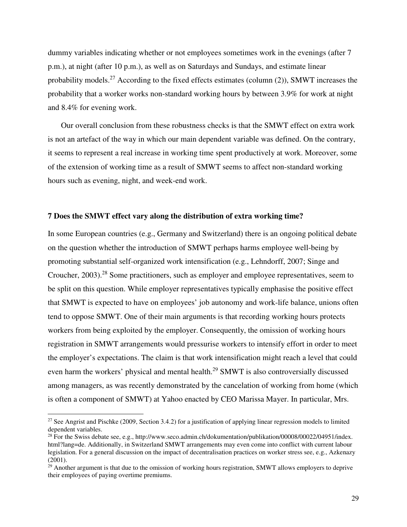dummy variables indicating whether or not employees sometimes work in the evenings (after 7 p.m.), at night (after 10 p.m.), as well as on Saturdays and Sundays, and estimate linear probability models.<sup>27</sup> According to the fixed effects estimates (column  $(2)$ ), SMWT increases the probability that a worker works non-standard working hours by between 3.9% for work at night and 8.4% for evening work.

Our overall conclusion from these robustness checks is that the SMWT effect on extra work is not an artefact of the way in which our main dependent variable was defined. On the contrary, it seems to represent a real increase in working time spent productively at work. Moreover, some of the extension of working time as a result of SMWT seems to affect non-standard working hours such as evening, night, and week-end work.

## **7 Does the SMWT effect vary along the distribution of extra working time?**

In some European countries (e.g., Germany and Switzerland) there is an ongoing political debate on the question whether the introduction of SMWT perhaps harms employee well-being by promoting substantial self-organized work intensification (e.g., Lehndorff, 2007; Singe and Croucher, 2003).<sup>28</sup> Some practitioners, such as employer and employee representatives, seem to be split on this question. While employer representatives typically emphasise the positive effect that SMWT is expected to have on employees' job autonomy and work-life balance, unions often tend to oppose SMWT. One of their main arguments is that recording working hours protects workers from being exploited by the employer. Consequently, the omission of working hours registration in SMWT arrangements would pressurise workers to intensify effort in order to meet the employer's expectations. The claim is that work intensification might reach a level that could even harm the workers' physical and mental health.<sup>29</sup> SMWT is also controversially discussed among managers, as was recently demonstrated by the cancelation of working from home (which is often a component of SMWT) at Yahoo enacted by CEO Marissa Mayer. In particular, Mrs.

<sup>&</sup>lt;sup>27</sup> See Angrist and Pischke (2009, Section 3.4.2) for a justification of applying linear regression models to limited dependent variables.

<sup>&</sup>lt;sup>28</sup> For the Swiss debate see, e.g., http://www.seco.admin.ch/dokumentation/publikation/00008/00022/04951/index. html?lang=de. Additionally, in Switzerland SMWT arrangements may even come into conflict with current labour legislation. For a general discussion on the impact of decentralisation practices on worker stress see, e.g., Azkenazy (2001).

 $29$  Another argument is that due to the omission of working hours registration, SMWT allows employers to deprive their employees of paying overtime premiums.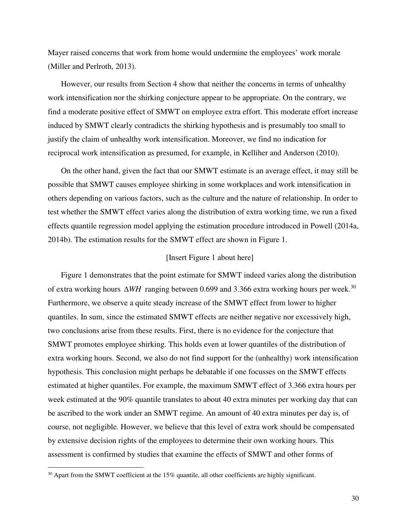Mayer raised concerns that work from home would undermine the employees' work morale (Miller and Perlroth, 2013).

However, our results from Section 4 show that neither the concerns in terms of unhealthy work intensification nor the shirking conjecture appear to be appropriate. On the contrary, we find a moderate positive effect of SMWT on employee extra effort. This moderate effort increase induced by SMWT clearly contradicts the shirking hypothesis and is presumably too small to justify the claim of unhealthy work intensification. Moreover, we find no indication for reciprocal work intensification as presumed, for example, in Kelliher and Anderson (2010).

On the other hand, given the fact that our SMWT estimate is an average effect, it may still be possible that SMWT causes employee shirking in some workplaces and work intensification in others depending on various factors, such as the culture and the nature of relationship. In order to test whether the SMWT effect varies along the distribution of extra working time, we run a fixed effects quantile regression model applying the estimation procedure introduced in Powell (2014a, 2014b). The estimation results for the SMWT effect are shown in Figure 1.

# [Insert Figure 1 about here]

Figure 1 demonstrates that the point estimate for SMWT indeed varies along the distribution of extra working hours  $\Delta WH$  ranging between 0.699 and 3.366 extra working hours per week.<sup>30</sup> Furthermore, we observe a quite steady increase of the SMWT effect from lower to higher quantiles. In sum, since the estimated SMWT effects are neither negative nor excessively high, two conclusions arise from these results. First, there is no evidence for the conjecture that SMWT promotes employee shirking. This holds even at lower quantiles of the distribution of extra working hours. Second, we also do not find support for the (unhealthy) work intensification hypothesis. This conclusion might perhaps be debatable if one focusses on the SMWT effects estimated at higher quantiles. For example, the maximum SMWT effect of 3.366 extra hours per week estimated at the 90% quantile translates to about 40 extra minutes per working day that can be ascribed to the work under an SMWT regime. An amount of 40 extra minutes per day is, of course, not negligible. However, we believe that this level of extra work should be compensated by extensive decision rights of the employees to determine their own working hours. This assessment is confirmed by studies that examine the effects of SMWT and other forms of

<sup>&</sup>lt;sup>30</sup> Apart from the SMWT coefficient at the 15% quantile, all other coefficients are highly significant.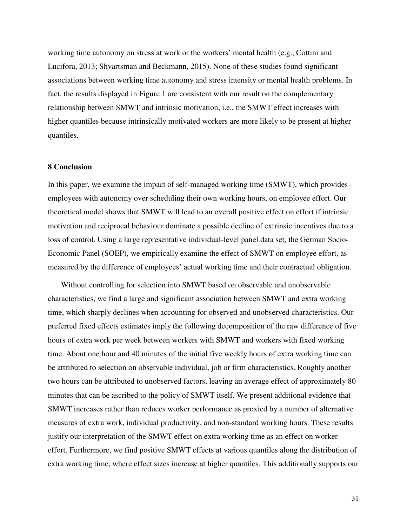working time autonomy on stress at work or the workers' mental health (e.g., Cottini and Lucifora, 2013; Shvartsman and Beckmann, 2015). None of these studies found significant associations between working time autonomy and stress intensity or mental health problems. In fact, the results displayed in Figure 1 are consistent with our result on the complementary relationship between SMWT and intrinsic motivation, i.e., the SMWT effect increases with higher quantiles because intrinsically motivated workers are more likely to be present at higher quantiles.

#### **8 Conclusion**

In this paper, we examine the impact of self-managed working time (SMWT), which provides employees with autonomy over scheduling their own working hours, on employee effort. Our theoretical model shows that SMWT will lead to an overall positive effect on effort if intrinsic motivation and reciprocal behaviour dominate a possible decline of extrinsic incentives due to a loss of control. Using a large representative individual-level panel data set, the German Socio-Economic Panel (SOEP), we empirically examine the effect of SMWT on employee effort, as measured by the difference of employees' actual working time and their contractual obligation.

Without controlling for selection into SMWT based on observable and unobservable characteristics, we find a large and significant association between SMWT and extra working time, which sharply declines when accounting for observed and unobserved characteristics. Our preferred fixed effects estimates imply the following decomposition of the raw difference of five hours of extra work per week between workers with SMWT and workers with fixed working time. About one hour and 40 minutes of the initial five weekly hours of extra working time can be attributed to selection on observable individual, job or firm characteristics. Roughly another two hours can be attributed to unobserved factors, leaving an average effect of approximately 80 minutes that can be ascribed to the policy of SMWT itself. We present additional evidence that SMWT increases rather than reduces worker performance as proxied by a number of alternative measures of extra work, individual productivity, and non-standard working hours. These results justify our interpretation of the SMWT effect on extra working time as an effect on worker effort. Furthermore, we find positive SMWT effects at various quantiles along the distribution of extra working time, where effect sizes increase at higher quantiles. This additionally supports our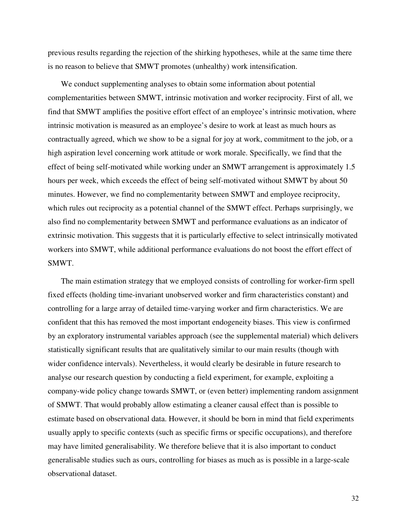previous results regarding the rejection of the shirking hypotheses, while at the same time there is no reason to believe that SMWT promotes (unhealthy) work intensification.

We conduct supplementing analyses to obtain some information about potential complementarities between SMWT, intrinsic motivation and worker reciprocity. First of all, we find that SMWT amplifies the positive effort effect of an employee's intrinsic motivation, where intrinsic motivation is measured as an employee's desire to work at least as much hours as contractually agreed, which we show to be a signal for joy at work, commitment to the job, or a high aspiration level concerning work attitude or work morale. Specifically, we find that the effect of being self-motivated while working under an SMWT arrangement is approximately 1.5 hours per week, which exceeds the effect of being self-motivated without SMWT by about 50 minutes. However, we find no complementarity between SMWT and employee reciprocity, which rules out reciprocity as a potential channel of the SMWT effect. Perhaps surprisingly, we also find no complementarity between SMWT and performance evaluations as an indicator of extrinsic motivation. This suggests that it is particularly effective to select intrinsically motivated workers into SMWT, while additional performance evaluations do not boost the effort effect of SMWT.

The main estimation strategy that we employed consists of controlling for worker-firm spell fixed effects (holding time-invariant unobserved worker and firm characteristics constant) and controlling for a large array of detailed time-varying worker and firm characteristics. We are confident that this has removed the most important endogeneity biases. This view is confirmed by an exploratory instrumental variables approach (see the supplemental material) which delivers statistically significant results that are qualitatively similar to our main results (though with wider confidence intervals). Nevertheless, it would clearly be desirable in future research to analyse our research question by conducting a field experiment, for example, exploiting a company-wide policy change towards SMWT, or (even better) implementing random assignment of SMWT. That would probably allow estimating a cleaner causal effect than is possible to estimate based on observational data. However, it should be born in mind that field experiments usually apply to specific contexts (such as specific firms or specific occupations), and therefore may have limited generalisability. We therefore believe that it is also important to conduct generalisable studies such as ours, controlling for biases as much as is possible in a large-scale observational dataset.

32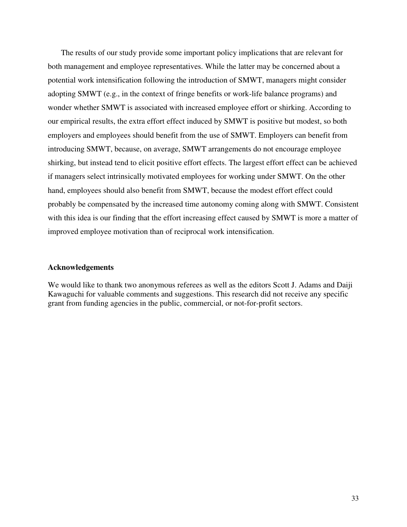The results of our study provide some important policy implications that are relevant for both management and employee representatives. While the latter may be concerned about a potential work intensification following the introduction of SMWT, managers might consider adopting SMWT (e.g., in the context of fringe benefits or work-life balance programs) and wonder whether SMWT is associated with increased employee effort or shirking. According to our empirical results, the extra effort effect induced by SMWT is positive but modest, so both employers and employees should benefit from the use of SMWT. Employers can benefit from introducing SMWT, because, on average, SMWT arrangements do not encourage employee shirking, but instead tend to elicit positive effort effects. The largest effort effect can be achieved if managers select intrinsically motivated employees for working under SMWT. On the other hand, employees should also benefit from SMWT, because the modest effort effect could probably be compensated by the increased time autonomy coming along with SMWT. Consistent with this idea is our finding that the effort increasing effect caused by SMWT is more a matter of improved employee motivation than of reciprocal work intensification.

# **Acknowledgements**

We would like to thank two anonymous referees as well as the editors Scott J. Adams and Daiji Kawaguchi for valuable comments and suggestions. This research did not receive any specific grant from funding agencies in the public, commercial, or not-for-profit sectors.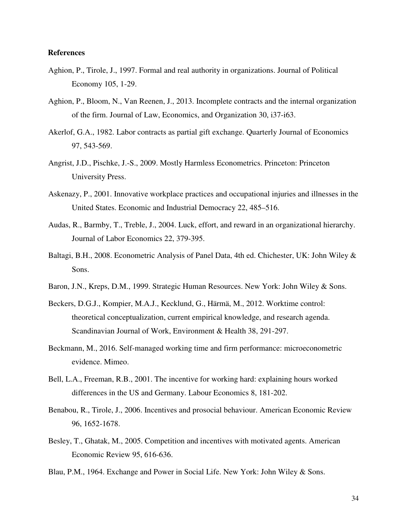# **References**

- Aghion, P., Tirole, J., 1997. Formal and real authority in organizations. Journal of Political Economy 105, 1-29.
- Aghion, P., Bloom, N., Van Reenen, J., 2013. Incomplete contracts and the internal organization of the firm. Journal of Law, Economics, and Organization 30, i37-i63.
- Akerlof, G.A., 1982. Labor contracts as partial gift exchange. Quarterly Journal of Economics 97, 543-569.
- Angrist, J.D., Pischke, J.-S., 2009. Mostly Harmless Econometrics. Princeton: Princeton University Press.
- Askenazy, P., 2001. Innovative workplace practices and occupational injuries and illnesses in the United States. Economic and Industrial Democracy 22, 485–516.
- Audas, R., Barmby, T., Treble, J., 2004. Luck, effort, and reward in an organizational hierarchy. Journal of Labor Economics 22, 379-395.
- Baltagi, B.H., 2008. Econometric Analysis of Panel Data, 4th ed. Chichester, UK: John Wiley & Sons.
- Baron, J.N., Kreps, D.M., 1999. Strategic Human Resources. New York: John Wiley & Sons.
- Beckers, D.G.J., Kompier, M.A.J., Kecklund, G., Härmä, M., 2012. Worktime control: theoretical conceptualization, current empirical knowledge, and research agenda. Scandinavian Journal of Work, Environment & Health 38, 291-297.
- Beckmann, M., 2016. Self-managed working time and firm performance: microeconometric evidence. Mimeo.
- Bell, L.A., Freeman, R.B., 2001. The incentive for working hard: explaining hours worked differences in the US and Germany. Labour Economics 8, 181-202.
- Benabou, R., Tirole, J., 2006. Incentives and prosocial behaviour. American Economic Review 96, 1652-1678.
- Besley, T., Ghatak, M., 2005. Competition and incentives with motivated agents. American Economic Review 95, 616-636.
- Blau, P.M., 1964. Exchange and Power in Social Life. New York: John Wiley & Sons.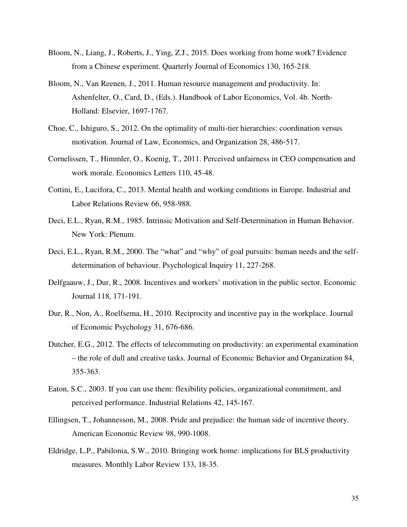- Bloom, N., Liang, J., Roberts, J., Ying, Z.J., 2015. Does working from home work? Evidence from a Chinese experiment. Quarterly Journal of Economics 130, 165-218.
- Bloom, N., Van Reenen, J., 2011. Human resource management and productivity. In: Ashenfelter, O., Card, D., (Eds.). Handbook of Labor Economics, Vol. 4b. North-Holland: Elsevier, 1697-1767.
- Choe, C., Ishiguro, S., 2012. On the optimality of multi-tier hierarchies: coordination versus motivation. Journal of Law, Economics, and Organization 28, 486-517.
- Cornelissen, T., Himmler, O., Koenig, T., 2011. Perceived unfairness in CEO compensation and work morale. Economics Letters 110, 45-48.
- Cottini, E., Lucifora, C., 2013. Mental health and working conditions in Europe. Industrial and Labor Relations Review 66, 958-988.
- Deci, E.L., Ryan, R.M., 1985. Intrinsic Motivation and Self-Determination in Human Behavior. New York: Plenum.
- Deci, E.L., Ryan, R.M., 2000. The "what" and "why" of goal pursuits: human needs and the selfdetermination of behaviour. Psychological Inquiry 11, 227-268.
- Delfgaauw, J., Dur, R., 2008. Incentives and workers' motivation in the public sector. Economic Journal 118, 171-191.
- Dur, R., Non, A., Roelfsema, H., 2010. Reciprocity and incentive pay in the workplace. Journal of Economic Psychology 31, 676-686.
- Dutcher, E.G., 2012. The effects of telecommuting on productivity: an experimental examination – the role of dull and creative tasks. Journal of Economic Behavior and Organization 84, 355-363.
- Eaton, S.C., 2003. If you can use them: flexibility policies, organizational commitment, and perceived performance. Industrial Relations 42, 145-167.
- Ellingsen, T., Johannesson, M., 2008. Pride and prejudice: the human side of incentive theory. American Economic Review 98, 990-1008.
- Eldridge, L.P., Pabilonia, S.W., 2010. Bringing work home: implications for BLS productivity measures. Monthly Labor Review 133, 18-35.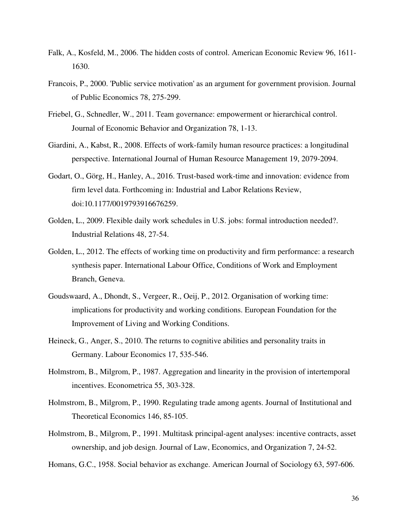- Falk, A., Kosfeld, M., 2006. The hidden costs of control. American Economic Review 96, 1611- 1630.
- Francois, P., 2000. 'Public service motivation' as an argument for government provision. Journal of Public Economics 78, 275-299.
- Friebel, G., Schnedler, W., 2011. Team governance: empowerment or hierarchical control. Journal of Economic Behavior and Organization 78, 1-13.
- Giardini, A., Kabst, R., 2008. Effects of work-family human resource practices: a longitudinal perspective. International Journal of Human Resource Management 19, 2079-2094.
- Godart, O., Görg, H., Hanley, A., 2016. Trust-based work-time and innovation: evidence from firm level data. Forthcoming in: Industrial and Labor Relations Review, doi:10.1177/0019793916676259.
- Golden, L., 2009. Flexible daily work schedules in U.S. jobs: formal introduction needed?. Industrial Relations 48, 27-54.
- Golden, L., 2012. The effects of working time on productivity and firm performance: a research synthesis paper. International Labour Office, Conditions of Work and Employment Branch, Geneva.
- Goudswaard, A., Dhondt, S., Vergeer, R., Oeij, P., 2012. Organisation of working time: implications for productivity and working conditions. European Foundation for the Improvement of Living and Working Conditions.
- Heineck, G., Anger, S., 2010. The returns to cognitive abilities and personality traits in Germany. Labour Economics 17, 535-546.
- Holmstrom, B., Milgrom, P., 1987. Aggregation and linearity in the provision of intertemporal incentives. Econometrica 55, 303-328.
- Holmstrom, B., Milgrom, P., 1990. Regulating trade among agents. Journal of Institutional and Theoretical Economics 146, 85-105.
- Holmstrom, B., Milgrom, P., 1991. Multitask principal-agent analyses: incentive contracts, asset ownership, and job design. Journal of Law, Economics, and Organization 7, 24-52.
- Homans, G.C., 1958. Social behavior as exchange. American Journal of Sociology 63, 597-606.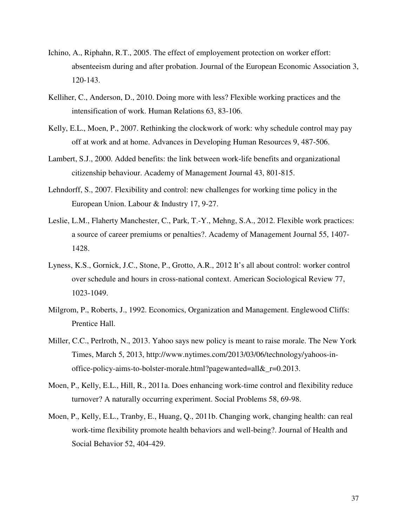- Ichino, A., Riphahn, R.T., 2005. The effect of employement protection on worker effort: absenteeism during and after probation. Journal of the European Economic Association 3, 120-143.
- Kelliher, C., Anderson, D., 2010. Doing more with less? Flexible working practices and the intensification of work. Human Relations 63, 83-106.
- Kelly, E.L., Moen, P., 2007. Rethinking the clockwork of work: why schedule control may pay off at work and at home. Advances in Developing Human Resources 9, 487-506.
- Lambert, S.J., 2000. Added benefits: the link between work-life benefits and organizational citizenship behaviour. Academy of Management Journal 43, 801-815.
- Lehndorff, S., 2007. Flexibility and control: new challenges for working time policy in the European Union. Labour & Industry 17, 9-27.
- Leslie, L.M., Flaherty Manchester, C., Park, T.-Y., Mehng, S.A., 2012. Flexible work practices: a source of career premiums or penalties?. Academy of Management Journal 55, 1407- 1428.
- Lyness, K.S., Gornick, J.C., Stone, P., Grotto, A.R., 2012 It's all about control: worker control over schedule and hours in cross-national context. American Sociological Review 77, 1023-1049.
- Milgrom, P., Roberts, J., 1992. Economics, Organization and Management. Englewood Cliffs: Prentice Hall.
- Miller, C.C., Perlroth, N., 2013. Yahoo says new policy is meant to raise morale. The New York Times, March 5, 2013, http://www.nytimes.com/2013/03/06/technology/yahoos-inoffice-policy-aims-to-bolster-morale.html?pagewanted=all&\_r=0.2013.
- Moen, P., Kelly, E.L., Hill, R., 2011a. Does enhancing work-time control and flexibility reduce turnover? A naturally occurring experiment. Social Problems 58, 69-98.
- Moen, P., Kelly, E.L., Tranby, E., Huang, Q., 2011b. Changing work, changing health: can real work-time flexibility promote health behaviors and well-being?. Journal of Health and Social Behavior 52, 404-429.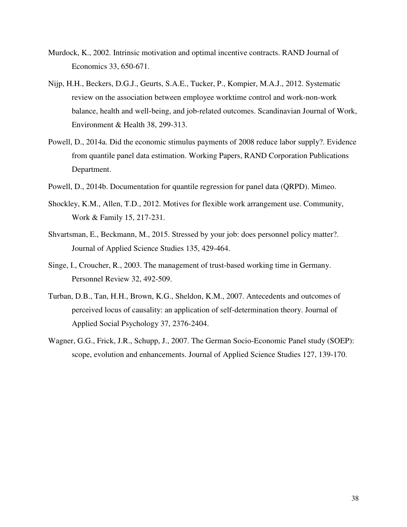- Murdock, K., 2002. Intrinsic motivation and optimal incentive contracts. RAND Journal of Economics 33, 650-671.
- Nijp, H.H., Beckers, D.G.J., Geurts, S.A.E., Tucker, P., Kompier, M.A.J., 2012. Systematic review on the association between employee worktime control and work-non-work balance, health and well-being, and job-related outcomes. Scandinavian Journal of Work, Environment & Health 38, 299-313.
- Powell, D., 2014a. Did the economic stimulus payments of 2008 reduce labor supply?. Evidence from quantile panel data estimation. Working Papers, RAND Corporation Publications Department.
- Powell, D., 2014b. Documentation for quantile regression for panel data (QRPD). Mimeo.
- Shockley, K.M., Allen, T.D., 2012. Motives for flexible work arrangement use. Community, Work & Family 15, 217-231.
- Shvartsman, E., Beckmann, M., 2015. Stressed by your job: does personnel policy matter?. Journal of Applied Science Studies 135, 429-464.
- Singe, I., Croucher, R., 2003. The management of trust-based working time in Germany. Personnel Review 32, 492-509.
- Turban, D.B., Tan, H.H., Brown, K.G., Sheldon, K.M., 2007. Antecedents and outcomes of perceived locus of causality: an application of self-determination theory. Journal of Applied Social Psychology 37, 2376-2404.
- Wagner, G.G., Frick, J.R., Schupp, J., 2007. The German Socio-Economic Panel study (SOEP): scope, evolution and enhancements. Journal of Applied Science Studies 127, 139-170.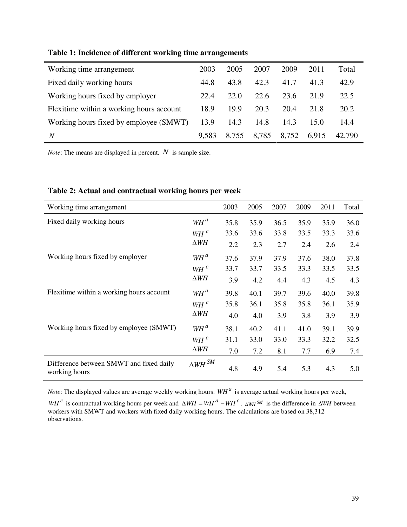| Working time arrangement                 | 2003  | 2005  | 2007  | 2009  | 2011  | Total  |
|------------------------------------------|-------|-------|-------|-------|-------|--------|
| Fixed daily working hours                | 44.8  | 43.8  | 42.3  | 41.7  | 41.3  | 42.9   |
| Working hours fixed by employer          | 22.4  | 22.0  | 22.6  | 23.6  | 21.9  | 22.5   |
| Flexitime within a working hours account | 18.9  | 19.9  | 20.3  | 20.4  | 21.8  | 20.2   |
| Working hours fixed by employee (SMWT)   | 13.9  | 14.3  | 14.8  | 14.3  | 15.0  | 14.4   |
| $\overline{N}$                           | 9,583 | 8.755 | 8,785 | 8,752 | 6.915 | 42.790 |

**Table 1: Incidence of different working time arrangements**

*Note*: The means are displayed in percent. *N* is sample size.

| Working time arrangement                                 |                        | 2003 | 2005 | 2007 | 2009 | 2011 | Total |
|----------------------------------------------------------|------------------------|------|------|------|------|------|-------|
| Fixed daily working hours                                | $WH^a$                 | 35.8 | 35.9 | 36.5 | 35.9 | 35.9 | 36.0  |
|                                                          | WH $^c$                | 33.6 | 33.6 | 33.8 | 33.5 | 33.3 | 33.6  |
|                                                          | $\Delta WH$            | 2.2  | 2.3  | 2.7  | 2.4  | 2.6  | 2.4   |
| Working hours fixed by employer                          | $WH^a$                 | 37.6 | 37.9 | 37.9 | 37.6 | 38.0 | 37.8  |
|                                                          | WH $^c$                | 33.7 | 33.7 | 33.5 | 33.3 | 33.5 | 33.5  |
|                                                          | $\Delta WH$            | 3.9  | 4.2  | 4.4  | 4.3  | 4.5  | 4.3   |
| Flexitime within a working hours account                 | $WH^a$                 | 39.8 | 40.1 | 39.7 | 39.6 | 40.0 | 39.8  |
|                                                          | WH $^c$                | 35.8 | 36.1 | 35.8 | 35.8 | 36.1 | 35.9  |
|                                                          | $\Delta WH$            | 4.0  | 4.0  | 3.9  | 3.8  | 3.9  | 3.9   |
| Working hours fixed by employee (SMWT)                   | $WH^a$                 | 38.1 | 40.2 | 41.1 | 41.0 | 39.1 | 39.9  |
|                                                          | WH $^c$                | 31.1 | 33.0 | 33.0 | 33.3 | 32.2 | 32.5  |
|                                                          | $\Delta WH$            | 7.0  | 7.2  | 8.1  | 7.7  | 6.9  | 7.4   |
| Difference between SMWT and fixed daily<br>working hours | $\Delta W\!H\,{}^{SM}$ | 4.8  | 4.9  | 5.4  | 5.3  | 4.3  | 5.0   |

# **Table 2: Actual and contractual working hours per week**

*Note*: The displayed values are average weekly working hours.  $WH^a$  is average actual working hours per week,

*WH*<sup>c</sup> is contractual working hours per week and  $\Delta WH = WH^a - WH^c$ .  $\Delta WH^s$  is the difference in  $\Delta WH$  between workers with SMWT and workers with fixed daily working hours. The calculations are based on 38,312 observations.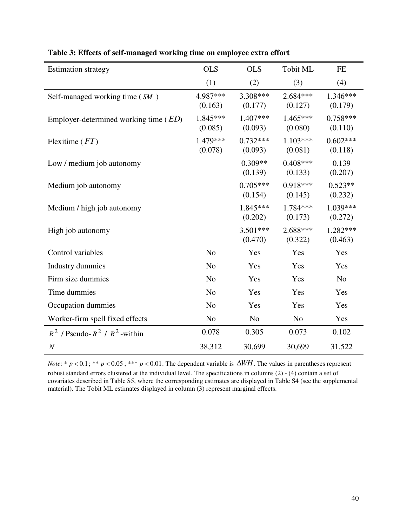| <b>Estimation strategy</b>              | <b>OLS</b>            | <b>OLS</b>            | Tobit ML              | <b>FE</b>             |
|-----------------------------------------|-----------------------|-----------------------|-----------------------|-----------------------|
|                                         | (1)                   | (2)                   | (3)                   | (4)                   |
| Self-managed working time (SM)          | 4.987***<br>(0.163)   | $3.308***$<br>(0.177) | $2.684***$<br>(0.127) | $1.346***$<br>(0.179) |
| Employer-determined working time $(ED)$ | $1.845***$<br>(0.085) | $1.407***$<br>(0.093) | $1.465***$<br>(0.080) | $0.758***$<br>(0.110) |
| Flexitime $(FT)$                        | 1.479***<br>(0.078)   | $0.732***$<br>(0.093) | $1.103***$<br>(0.081) | $0.602***$<br>(0.118) |
| Low / medium job autonomy               |                       | $0.309**$<br>(0.139)  | $0.408***$<br>(0.133) | 0.139<br>(0.207)      |
| Medium job autonomy                     |                       | $0.705***$<br>(0.154) | $0.918***$<br>(0.145) | $0.523**$<br>(0.232)  |
| Medium / high job autonomy              |                       | $1.845***$<br>(0.202) | $1.784***$<br>(0.173) | $1.039***$<br>(0.272) |
| High job autonomy                       |                       | $3.501***$<br>(0.470) | $2.688***$<br>(0.322) | 1.282***<br>(0.463)   |
| Control variables                       | N <sub>o</sub>        | Yes                   | Yes                   | Yes                   |
| <b>Industry dummies</b>                 | N <sub>o</sub>        | Yes                   | Yes                   | Yes                   |
| Firm size dummies                       | N <sub>o</sub>        | Yes                   | Yes                   | N <sub>o</sub>        |
| Time dummies                            | N <sub>o</sub>        | Yes                   | Yes                   | Yes                   |
| Occupation dummies                      | N <sub>o</sub>        | Yes                   | Yes                   | Yes                   |
| Worker-firm spell fixed effects         | N <sub>o</sub>        | N <sub>o</sub>        | N <sub>o</sub>        | Yes                   |
| $R^2$ / Pseudo- $R^2$ / $R^2$ -within   | 0.078                 | 0.305                 | 0.073                 | 0.102                 |
| $\cal N$                                | 38,312                | 30,699                | 30,699                | 31,522                |

# **Table 3: Effects of self-managed working time on employee extra effort**

*Note*: \*  $p < 0.1$ ; \*\*  $p < 0.05$ ; \*\*\*  $p < 0.01$ . The dependent variable is  $\Delta WH$ . The values in parentheses represent robust standard errors clustered at the individual level. The specifications in columns (2) - (4) contain a set of covariates described in Table S5, where the corresponding estimates are displayed in Table S4 (see the supplemental material). The Tobit ML estimates displayed in column (3) represent marginal effects.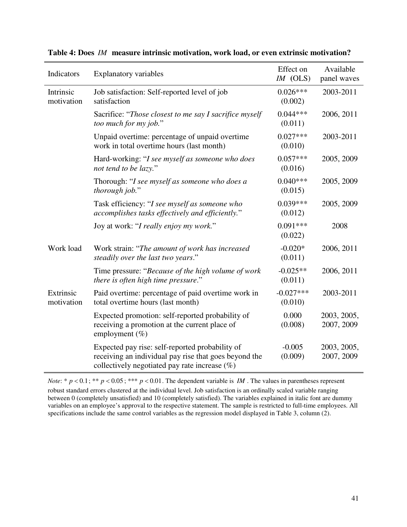| Indicators              | <b>Explanatory variables</b>                                                                                                                                 | Effect on<br>$IM$ (OLS) | Available<br>panel waves  |
|-------------------------|--------------------------------------------------------------------------------------------------------------------------------------------------------------|-------------------------|---------------------------|
| Intrinsic<br>motivation | Job satisfaction: Self-reported level of job<br>satisfaction                                                                                                 | $0.026***$<br>(0.002)   | 2003-2011                 |
|                         | Sacrifice: "Those closest to me say I sacrifice myself<br>too much for my job."                                                                              | $0.044***$<br>(0.011)   | 2006, 2011                |
|                         | Unpaid overtime: percentage of unpaid overtime<br>work in total overtime hours (last month)                                                                  | $0.027***$<br>(0.010)   | 2003-2011                 |
|                         | Hard-working: "I see myself as someone who does<br>not tend to be lazy."                                                                                     | $0.057***$<br>(0.016)   | 2005, 2009                |
|                         | Thorough: "I see myself as someone who does a<br>thorough job."                                                                                              | $0.040***$<br>(0.015)   | 2005, 2009                |
|                         | Task efficiency: "I see myself as someone who<br>accomplishes tasks effectively and efficiently."                                                            | $0.039***$<br>(0.012)   | 2005, 2009                |
|                         | Joy at work: "I really enjoy my work."                                                                                                                       | $0.091***$<br>(0.022)   | 2008                      |
| Work load               | Work strain: "The amount of work has increased<br>steadily over the last two years."                                                                         | $-0.020*$<br>(0.011)    | 2006, 2011                |
|                         | Time pressure: "Because of the high volume of work<br><i>there is often high time pressure.</i> "                                                            | $-0.025**$<br>(0.011)   | 2006, 2011                |
| Extrinsic<br>motivation | Paid overtime: percentage of paid overtime work in<br>total overtime hours (last month)                                                                      | $-0.027***$<br>(0.010)  | 2003-2011                 |
|                         | Expected promotion: self-reported probability of<br>receiving a promotion at the current place of<br>employment $(\%)$                                       | 0.000<br>(0.008)        | 2003, 2005,<br>2007, 2009 |
|                         | Expected pay rise: self-reported probability of<br>receiving an individual pay rise that goes beyond the<br>collectively negotiated pay rate increase $(\%)$ | $-0.005$<br>(0.009)     | 2003, 2005,<br>2007, 2009 |

*Note*: \*  $p < 0.1$ ; \*\*  $p < 0.05$ ; \*\*\*  $p < 0.01$ . The dependent variable is *IM*. The values in parentheses represent robust standard errors clustered at the individual level. Job satisfaction is an ordinally scaled variable ranging between 0 (completely unsatisfied) and 10 (completely satisfied). The variables explained in italic font are dummy variables on an employee's approval to the respective statement. The sample is restricted to full-time employees. All specifications include the same control variables as the regression model displayed in Table 3, column (2).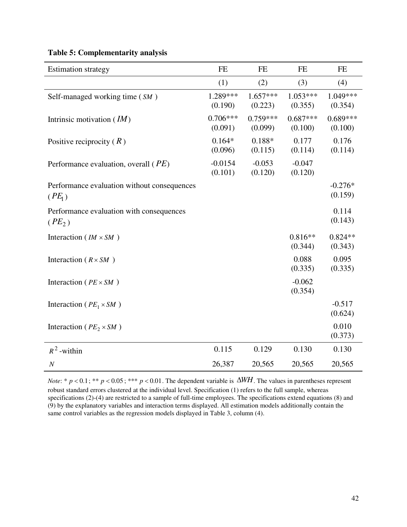| <b>Estimation strategy</b>                                        | <b>FE</b>             | FE                    | FE                    | <b>FE</b>             |
|-------------------------------------------------------------------|-----------------------|-----------------------|-----------------------|-----------------------|
|                                                                   | (1)                   | (2)                   | (3)                   | (4)                   |
| Self-managed working time $(SM)$                                  | 1.289***<br>(0.190)   | $1.657***$<br>(0.223) | $1.053***$<br>(0.355) | 1.049***<br>(0.354)   |
| Intrinsic motivation $(IM)$                                       | $0.706***$<br>(0.091) | $0.759***$<br>(0.099) | $0.687***$<br>(0.100) | $0.689***$<br>(0.100) |
| Positive reciprocity $(R)$                                        | $0.164*$<br>(0.096)   | $0.188*$<br>(0.115)   | 0.177<br>(0.114)      | 0.176<br>(0.114)      |
| Performance evaluation, overall $(PE)$                            | $-0.0154$<br>(0.101)  | $-0.053$<br>(0.120)   | $-0.047$<br>(0.120)   |                       |
| Performance evaluation without consequences<br>(PE <sub>1</sub> ) |                       |                       |                       | $-0.276*$<br>(0.159)  |
| Performance evaluation with consequences<br>(PE <sub>2</sub> )    |                       |                       |                       | 0.114<br>(0.143)      |
| Interaction ( $IM \times SM$ )                                    |                       |                       | $0.816**$<br>(0.344)  | $0.824**$<br>(0.343)  |
| Interaction ( $R \times SM$ )                                     |                       |                       | 0.088<br>(0.335)      | 0.095<br>(0.335)      |
| Interaction ( $PE \times SM$ )                                    |                       |                       | $-0.062$<br>(0.354)   |                       |
| Interaction ( $PE_1 \times SM$ )                                  |                       |                       |                       | $-0.517$<br>(0.624)   |
| Interaction ( $PE_2 \times SM$ )                                  |                       |                       |                       | 0.010<br>(0.373)      |
| $R^2$ -within                                                     | 0.115                 | 0.129                 | 0.130                 | 0.130                 |
| $\boldsymbol{N}$                                                  | 26,387                | 20,565                | 20,565                | 20,565                |

# **Table 5: Complementarity analysis**

*Note*: \*  $p < 0.1$ ; \*\*  $p < 0.05$ ; \*\*\*  $p < 0.01$ . The dependent variable is  $\Delta WH$ . The values in parentheses represent robust standard errors clustered at the individual level. Specification (1) refers to the full sample, whereas specifications (2)-(4) are restricted to a sample of full-time employees. The specifications extend equations (8) and (9) by the explanatory variables and interaction terms displayed. All estimation models additionally contain the same control variables as the regression models displayed in Table 3, column (4).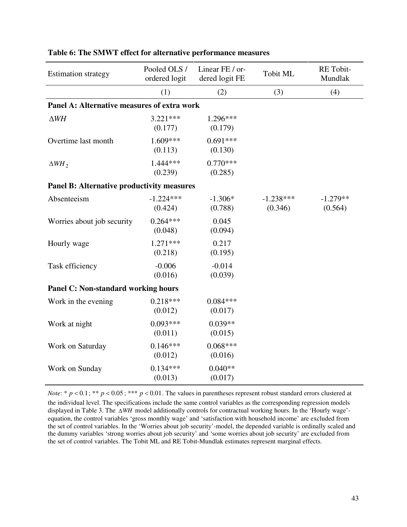| <b>Estimation strategy</b>                        | Pooled OLS /<br>ordered logit | Linear FE / or-<br>dered logit FE | Tobit ML               | RE Tobit-<br>Mundlak  |
|---------------------------------------------------|-------------------------------|-----------------------------------|------------------------|-----------------------|
|                                                   | (1)                           | (2)                               | (3)                    | (4)                   |
| Panel A: Alternative measures of extra work       |                               |                                   |                        |                       |
| $\triangle WH$                                    | $3.221***$<br>(0.177)         | 1.296***<br>(0.179)               |                        |                       |
| Overtime last month                               | $1.609***$<br>(0.113)         | $0.691***$<br>(0.130)             |                        |                       |
| $\Delta WH$ ,                                     | 1.444 ***<br>(0.239)          | $0.770***$<br>(0.285)             |                        |                       |
| <b>Panel B: Alternative productivity measures</b> |                               |                                   |                        |                       |
| Absenteeism                                       | $-1.224***$<br>(0.424)        | $-1.306*$<br>(0.788)              | $-1.238***$<br>(0.346) | $-1.279**$<br>(0.564) |
| Worries about job security                        | $0.264***$<br>(0.048)         | 0.045<br>(0.094)                  |                        |                       |
| Hourly wage                                       | $1.271***$<br>(0.218)         | 0.217<br>(0.195)                  |                        |                       |
| Task efficiency                                   | $-0.006$<br>(0.016)           | $-0.014$<br>(0.039)               |                        |                       |
| <b>Panel C: Non-standard working hours</b>        |                               |                                   |                        |                       |
| Work in the evening                               | $0.218***$<br>(0.012)         | $0.084***$<br>(0.017)             |                        |                       |
| Work at night                                     | $0.093***$<br>(0.011)         | $0.039**$<br>(0.015)              |                        |                       |
| Work on Saturday                                  | $0.146***$<br>(0.012)         | $0.068***$<br>(0.016)             |                        |                       |
| Work on Sunday                                    | $0.134***$<br>(0.013)         | $0.040**$<br>(0.017)              |                        |                       |

# **Table 6: The SMWT effect for alternative performance measures**

*Note*: \*  $p < 0.1$ ; \*\*  $p < 0.05$ ; \*\*\*  $p < 0.01$ . The values in parentheses represent robust standard errors clustered at the individual level. The specifications include the same control variables as the corresponding regression models displayed in Table 3. The *WH* model additionally controls for contractual working hours. In the 'Hourly wage' equation, the control variables 'gross monthly wage' and 'satisfaction with household income' are excluded from the set of control variables. In the 'Worries about job security'-model, the depended variable is ordinally scaled and the dummy variables 'strong worries about job security' and 'some worries about job security' are excluded from the set of control variables. The Tobit ML and RE Tobit-Mundlak estimates represent marginal effects.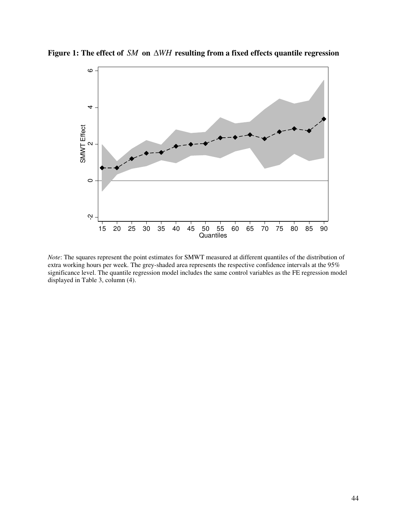

**Figure 1: The effect of** *SM* **on** *WH* **resulting from a fixed effects quantile regression**

*Note*: The squares represent the point estimates for SMWT measured at different quantiles of the distribution of extra working hours per week. The grey-shaded area represents the respective confidence intervals at the 95% significance level. The quantile regression model includes the same control variables as the FE regression model displayed in Table 3, column (4).  $\begin{array}{c|c}\n\mathsf{Q} & \mathsf{I} \\
\hline\n15 & 20 & 25\n\end{array}$ <br> *Note*: The squares represent the p<br>
extra working hours per week. The<br>
significance level. The quantile redisplayed in Table 3, column (4).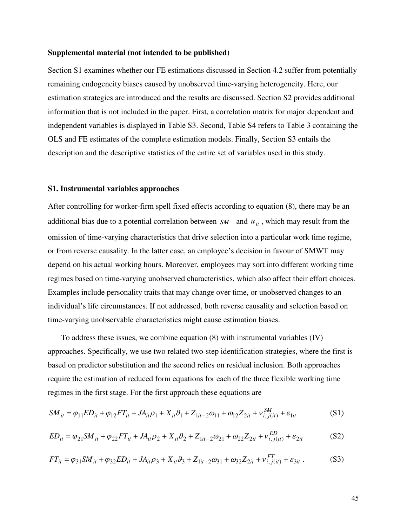#### **Supplemental material (not intended to be published)**

Section S1 examines whether our FE estimations discussed in Section 4.2 suffer from potentially remaining endogeneity biases caused by unobserved time-varying heterogeneity. Here, our estimation strategies are introduced and the results are discussed. Section S2 provides additional information that is not included in the paper. First, a correlation matrix for major dependent and independent variables is displayed in Table S3. Second, Table S4 refers to Table 3 containing the OLS and FE estimates of the complete estimation models. Finally, Section S3 entails the description and the descriptive statistics of the entire set of variables used in this study.

## **S1. Instrumental variables approaches**

After controlling for worker-firm spell fixed effects according to equation (8), there may be an additional bias due to a potential correlation between  $SM$  and  $u_i$ , which may result from the omission of time-varying characteristics that drive selection into a particular work time regime, or from reverse causality. In the latter case, an employee's decision in favour of SMWT may depend on his actual working hours. Moreover, employees may sort into different working time regimes based on time-varying unobserved characteristics, which also affect their effort choices. Examples include personality traits that may change over time, or unobserved changes to an individual's life circumstances. If not addressed, both reverse causality and selection based on time-varying unobservable characteristics might cause estimation biases.

To address these issues, we combine equation (8) with instrumental variables (IV) approaches. Specifically, we use two related two-step identification strategies, where the first is based on predictor substitution and the second relies on residual inclusion. Both approaches require the estimation of reduced form equations for each of the three flexible working time regimes in the first stage. For the first approach these equations are

$$
SM_{it} = \varphi_{11} ED_{it} + \varphi_{12} FT_{it} + JA_{it}\rho_1 + X_{it}\vartheta_1 + Z_{1it-2}\omega_{11} + \omega_{12} Z_{2it} + v_{i,j(it)}^{SM} + \varepsilon_{1it}
$$
(S1)

$$
ED_{it} = \varphi_{21}SM_{it} + \varphi_{22}FT_{it} + JA_{it}\rho_2 + X_{it}\vartheta_2 + Z_{1it-2}\omega_{21} + \omega_{22}Z_{2it} + v_{i,j(it)}^{ED} + \varepsilon_{2it}
$$
(S2)

$$
FT_{it} = \varphi_{31} SM_{it} + \varphi_{32} ED_{it} + JA_{it}\rho_3 + X_{it}\vartheta_3 + Z_{1it-2}\omega_{31} + \omega_{32} Z_{2it} + v_{i,j(it)}^{FT} + \varepsilon_{3it}.
$$
 (S3)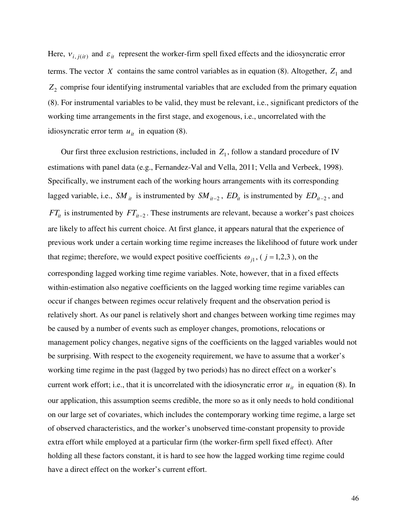Here,  $v_{i,j(it)}$  and  $\varepsilon_{it}$  represent the worker-firm spell fixed effects and the idiosyncratic error terms. The vector *X* contains the same control variables as in equation (8). Altogether,  $Z_1$  and  $Z_2$  comprise four identifying instrumental variables that are excluded from the primary equation (8). For instrumental variables to be valid, they must be relevant, i.e., significant predictors of the working time arrangements in the first stage, and exogenous, i.e., uncorrelated with the idiosyncratic error term  $u_{it}$  in equation (8).

Our first three exclusion restrictions, included in  $Z_1$ , follow a standard procedure of IV estimations with panel data (e.g., Fernandez-Val and Vella, 2011; Vella and Verbeek, 1998). Specifically, we instrument each of the working hours arrangements with its corresponding lagged variable, i.e., *SM*<sub>*it*</sub> is instrumented by *SM*<sub>*it*-2</sub>, *ED*<sub>*it*</sub> is instrumented by *ED*<sub>*it*-2</sub>, and  $FT_{it}$  is instrumented by  $FT_{it-2}$ . These instruments are relevant, because a worker's past choices are likely to affect his current choice. At first glance, it appears natural that the experience of previous work under a certain working time regime increases the likelihood of future work under that regime; therefore, we would expect positive coefficients  $\omega_{j1}$ , ( $j = 1,2,3$ ), on the corresponding lagged working time regime variables. Note, however, that in a fixed effects within-estimation also negative coefficients on the lagged working time regime variables can occur if changes between regimes occur relatively frequent and the observation period is relatively short. As our panel is relatively short and changes between working time regimes may be caused by a number of events such as employer changes, promotions, relocations or management policy changes, negative signs of the coefficients on the lagged variables would not be surprising. With respect to the exogeneity requirement, we have to assume that a worker's working time regime in the past (lagged by two periods) has no direct effect on a worker's current work effort; i.e., that it is uncorrelated with the idiosyncratic error  $u_i$  in equation (8). In our application, this assumption seems credible, the more so as it only needs to hold conditional on our large set of covariates, which includes the contemporary working time regime, a large set of observed characteristics, and the worker's unobserved time-constant propensity to provide extra effort while employed at a particular firm (the worker-firm spell fixed effect). After holding all these factors constant, it is hard to see how the lagged working time regime could have a direct effect on the worker's current effort.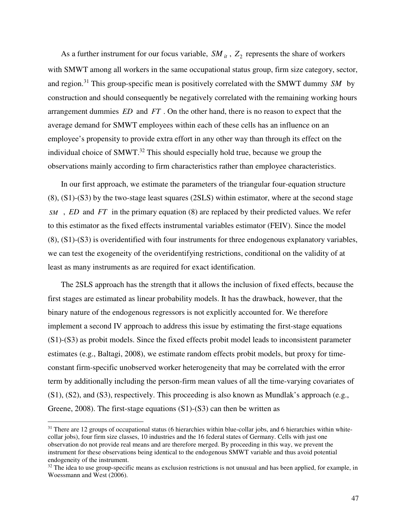As a further instrument for our focus variable,  $SM_{it}$ ,  $Z_2$  represents the share of workers with SMWT among all workers in the same occupational status group, firm size category, sector, and region.<sup>31</sup> This group-specific mean is positively correlated with the SMWT dummy *SM* by construction and should consequently be negatively correlated with the remaining working hours arrangement dummies *ED* and *FT* . On the other hand, there is no reason to expect that the average demand for SMWT employees within each of these cells has an influence on an employee's propensity to provide extra effort in any other way than through its effect on the individual choice of SMWT.<sup>32</sup> This should especially hold true, because we group the observations mainly according to firm characteristics rather than employee characteristics.

In our first approach, we estimate the parameters of the triangular four-equation structure (8), (S1)-(S3) by the two-stage least squares (2SLS) within estimator, where at the second stage *SM* , *ED* and *FT* in the primary equation (8) are replaced by their predicted values. We refer to this estimator as the fixed effects instrumental variables estimator (FEIV). Since the model (8), (S1)-(S3) is overidentified with four instruments for three endogenous explanatory variables, we can test the exogeneity of the overidentifying restrictions, conditional on the validity of at least as many instruments as are required for exact identification.

The 2SLS approach has the strength that it allows the inclusion of fixed effects, because the first stages are estimated as linear probability models. It has the drawback, however, that the binary nature of the endogenous regressors is not explicitly accounted for. We therefore implement a second IV approach to address this issue by estimating the first-stage equations (S1)-(S3) as probit models. Since the fixed effects probit model leads to inconsistent parameter estimates (e.g., Baltagi, 2008), we estimate random effects probit models, but proxy for timeconstant firm-specific unobserved worker heterogeneity that may be correlated with the error term by additionally including the person-firm mean values of all the time-varying covariates of (S1), (S2), and (S3), respectively. This proceeding is also known as Mundlak's approach (e.g., Greene, 2008). The first-stage equations (S1)-(S3) can then be written as

 $31$  There are 12 groups of occupational status (6 hierarchies within blue-collar jobs, and 6 hierarchies within whitecollar jobs), four firm size classes, 10 industries and the 16 federal states of Germany. Cells with just one observation do not provide real means and are therefore merged. By proceeding in this way, we prevent the instrument for these observations being identical to the endogenous SMWT variable and thus avoid potential endogeneity of the instrument.

 $32$  The idea to use group-specific means as exclusion restrictions is not unusual and has been applied, for example, in Woessmann and West (2006).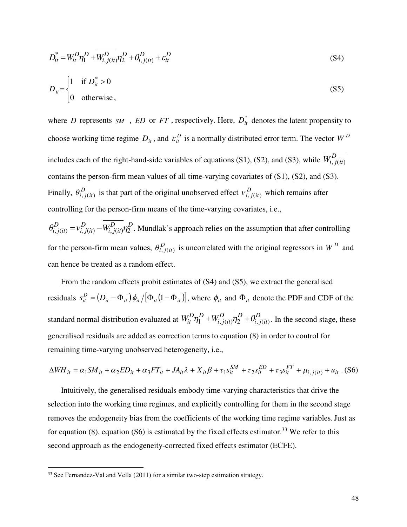$$
D_{it}^* = W_{it}^D \eta_1^D + \overline{W_{i,j(it)}^D} \eta_2^D + \theta_{i,j(it)}^D + \varepsilon_{it}^D
$$
\n
$$
D_{it} = \begin{cases} 1 & \text{if } D_{it}^* > 0 \\ 0 & \text{otherwise} \end{cases}
$$
\n(S5)

where *D* represents *SM* , *ED* or *FT* , respectively. Here,  $D_i^*$  denotes the latent propensity to choose working time regime  $D_{it}$ , and  $\varepsilon_{it}^D$  is a normally distributed error term. The vector  $W^D$ includes each of the right-hand-side variables of equations (S1), (S2), and (S3), while  $W_{i, i(it)}^D$ contains the person-firm mean values of all time-varying covariates of (S1), (S2), and (S3). Finally,  $\theta_{i,j(it)}^D$  is that part of the original unobserved effect  $v_{i,j(it)}^D$  which remains after controlling for the person-firm means of the time-varying covariates, i.e.,

 $D \rightarrow D$  $i, j$ *(it D i*, *j*(*it*  $\theta_{i,j(it)}^D = v_{i,j(it)}^D - W_{i,j(it)}^D \eta_2^D$ . Mundlak's approach relies on the assumption that after controlling for the person-firm mean values,  $\theta_{i,j(it)}^D$  is uncorrelated with the original regressors in  $W^D$  and can hence be treated as a random effect.

From the random effects probit estimates of (S4) and (S5), we extract the generalised residuals  $s_{it}^D = (D_{it} - \Phi_{it})\phi_{it}/[\Phi_{it}(1-\Phi_{it})]$ , where  $\phi_{it}$  and  $\Phi_{it}$  denote the PDF and CDF of the standard normal distribution evaluated at  $W_{it}^D \eta_1^D + W_{i,j(it)}^D \eta_2^D + \theta_{i,j(it}^D$  $D \rightarrow D$  $W_{it}^D \eta_1^D + W_{i,j(it)}^D \eta_2^D + \theta_{i,j(it)}^D$ . In the second stage, these generalised residuals are added as correction terms to equation (8) in order to control for remaining time-varying unobserved heterogeneity, i.e.,

$$
\Delta WH_{it} = \alpha_1 SM_{it} + \alpha_2 ED_{it} + \alpha_3 FT_{it} + JA_{it}\lambda + X_{it}\beta + \tau_1 s_{it}^{SM} + \tau_2 s_{it}^{ED} + \tau_3 s_{it}^{FT} + \mu_{i, j(it)} + u_{it} \tag{S6}
$$

Intuitively, the generalised residuals embody time-varying characteristics that drive the selection into the working time regimes, and explicitly controlling for them in the second stage removes the endogeneity bias from the coefficients of the working time regime variables. Just as for equation (8), equation (S6) is estimated by the fixed effects estimator.<sup>33</sup> We refer to this second approach as the endogeneity-corrected fixed effects estimator (ECFE).

<sup>&</sup>lt;sup>33</sup> See Fernandez-Val and Vella (2011) for a similar two-step estimation strategy.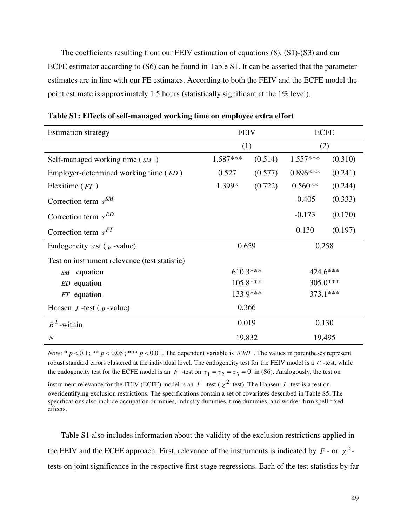The coefficients resulting from our FEIV estimation of equations (8), (S1)-(S3) and our ECFE estimator according to (S6) can be found in Table S1. It can be asserted that the parameter estimates are in line with our FE estimates. According to both the FEIV and the ECFE model the point estimate is approximately 1.5 hours (statistically significant at the 1% level).

| <b>Estimation strategy</b>                     | <b>FEIV</b> |         | <b>ECFE</b> |         |
|------------------------------------------------|-------------|---------|-------------|---------|
|                                                | (1)         |         | (2)         |         |
| Self-managed working time $(sM)$               | $1.587***$  | (0.514) | $1.557***$  | (0.310) |
| Employer-determined working time ( <i>ED</i> ) | 0.527       | (0.577) | $0.896***$  | (0.241) |
| Flexitime $(FT)$                               | 1.399*      | (0.722) | $0.560**$   | (0.244) |
| Correction term $s^{SM}$                       |             |         | $-0.405$    | (0.333) |
| Correction term $s^{ED}$                       |             |         | $-0.173$    | (0.170) |
| Correction term $s^{FT}$                       |             |         | 0.130       | (0.197) |
| Endogeneity test ( $p$ -value)                 | 0.659       |         | 0.258       |         |
| Test on instrument relevance (test statistic)  |             |         |             |         |
| equation<br><b>SM</b>                          | $610.3***$  |         | 424.6***    |         |
| equation<br>ED                                 | 105.8***    |         | 305.0***    |         |
| FT equation                                    | 133.9***    |         | 373.1***    |         |
| Hansen $J$ -test ( $p$ -value)                 | 0.366       |         |             |         |
| $R^2$ -within                                  | 0.019       |         | 0.130       |         |
| $\boldsymbol{N}$                               | 19,832      |         | 19,495      |         |

**Table S1: Effects of self-managed working time on employee extra effort**

*Note*: \*  $p < 0.1$ ; \*\*  $p < 0.05$ ; \*\*\*  $p < 0.01$ . The dependent variable is  $\triangle W H$ . The values in parentheses represent robust standard errors clustered at the individual level. The endogeneity test for the FEIV model is a *C* -test, while the endogeneity test for the ECFE model is an *F* -test on  $\tau_1 = \tau_2 = \tau_3 = 0$  in (S6). Analogously, the test on instrument relevance for the FEIV (ECFE) model is an  $F$  -test ( $\chi^2$ -test). The Hansen *J* -test is a test on overidentifying exclusion restrictions. The specifications contain a set of covariates described in Table S5. The specifications also include occupation dummies, industry dummies, time dummies, and worker-firm spell fixed effects.

Table S1 also includes information about the validity of the exclusion restrictions applied in the FEIV and the ECFE approach. First, relevance of the instruments is indicated by  $F$  - or  $\chi^2$  tests on joint significance in the respective first-stage regressions. Each of the test statistics by far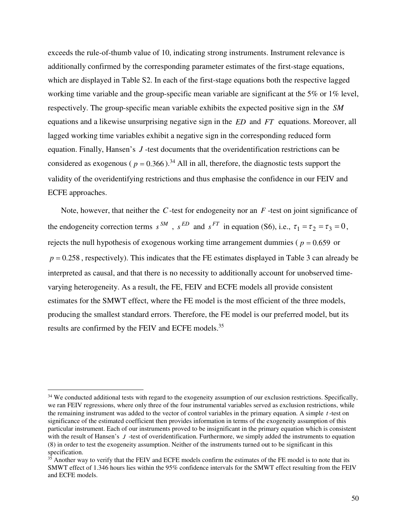exceeds the rule-of-thumb value of 10, indicating strong instruments. Instrument relevance is additionally confirmed by the corresponding parameter estimates of the first-stage equations, which are displayed in Table S2. In each of the first-stage equations both the respective lagged working time variable and the group-specific mean variable are significant at the 5% or 1% level, respectively. The group-specific mean variable exhibits the expected positive sign in the *SM* equations and a likewise unsurprising negative sign in the *ED* and *FT* equations. Moreover, all lagged working time variables exhibit a negative sign in the corresponding reduced form equation. Finally, Hansen's *J* -test documents that the overidentification restrictions can be considered as exogenous ( $p = 0.366$ ).<sup>34</sup> All in all, therefore, the diagnostic tests support the validity of the overidentifying restrictions and thus emphasise the confidence in our FEIV and ECFE approaches.

Note, however, that neither the *C*-test for endogeneity nor an *F* -test on joint significance of the endogeneity correction terms  $s^{SM}$ ,  $s^{ED}$  and  $s^{FT}$  in equation (S6), i.e.,  $\tau_1 = \tau_2 = \tau_3 = 0$ , rejects the null hypothesis of exogenous working time arrangement dummies ( $p = 0.659$  or  $p = 0.258$ , respectively). This indicates that the FE estimates displayed in Table 3 can already be interpreted as causal, and that there is no necessity to additionally account for unobserved timevarying heterogeneity. As a result, the FE, FEIV and ECFE models all provide consistent estimates for the SMWT effect, where the FE model is the most efficient of the three models, producing the smallest standard errors. Therefore, the FE model is our preferred model, but its results are confirmed by the FEIV and ECFE models.<sup>35</sup>

<sup>&</sup>lt;sup>34</sup> We conducted additional tests with regard to the exogeneity assumption of our exclusion restrictions. Specifically, we ran FEIV regressions, where only three of the four instrumental variables served as exclusion restrictions, while the remaining instrument was added to the vector of control variables in the primary equation. A simple *t* -test on significance of the estimated coefficient then provides information in terms of the exogeneity assumption of this particular instrument. Each of our instruments proved to be insignificant in the primary equation which is consistent with the result of Hansen's *J* -test of overidentification. Furthermore, we simply added the instruments to equation (8) in order to test the exogeneity assumption. Neither of the instruments turned out to be significant in this specification.

 $35$  Another way to verify that the FEIV and ECFE models confirm the estimates of the FE model is to note that its SMWT effect of 1.346 hours lies within the 95% confidence intervals for the SMWT effect resulting from the FEIV and ECFE models.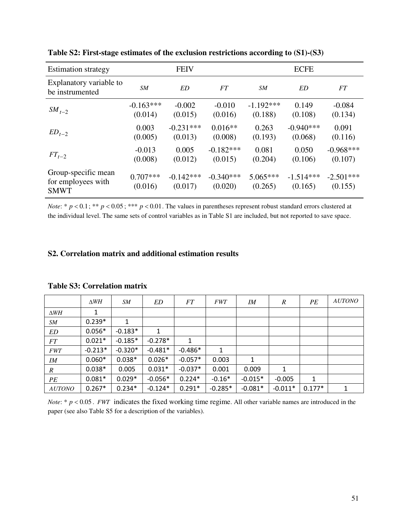| <b>Estimation strategy</b>                               |                        | <b>FEIV</b>            |                        |                        | <b>ECFE</b>            |                        |
|----------------------------------------------------------|------------------------|------------------------|------------------------|------------------------|------------------------|------------------------|
| Explanatory variable to<br>be instrumented               | <b>SM</b>              | <b>ED</b>              | <b>FT</b>              | <b>SM</b>              | ED.                    | <b>FT</b>              |
| $SM_{t-2}$                                               | $-0.163***$<br>(0.014) | $-0.002$<br>(0.015)    | $-0.010$<br>(0.016)    | $-1.192***$<br>(0.188) | 0.149<br>(0.108)       | $-0.084$<br>(0.134)    |
| $ED_{t-2}$                                               | 0.003<br>(0.005)       | $-0.231***$<br>(0.013) | $0.016**$<br>(0.008)   | 0.263<br>(0.193)       | $-0.940***$<br>(0.068) | 0.091<br>(0.116)       |
| $FT_{t-2}$                                               | $-0.013$<br>(0.008)    | 0.005<br>(0.012)       | $-0.182***$<br>(0.015) | 0.081<br>(0.204)       | 0.050<br>(0.106)       | $-0.968***$<br>(0.107) |
| Group-specific mean<br>for employees with<br><b>SMWT</b> | $0.707***$<br>(0.016)  | $-0.142***$<br>(0.017) | $-0.340***$<br>(0.020) | $5.065***$<br>(0.265)  | $-1.514***$<br>(0.165) | $-2.501***$<br>(0.155) |

**Table S2: First-stage estimates of the exclusion restrictions according to (S1)-(S3)**

*Note*: \*  $p < 0.1$ ; \*\*  $p < 0.05$ ; \*\*\*  $p < 0.01$ . The values in parentheses represent robust standard errors clustered at the individual level. The same sets of control variables as in Table S1 are included, but not reported to save space.

# **S2. Correlation matrix and additional estimation results**

|                  | $\Delta WH$ | SM        | ED           | FT        | <i>FWT</i> | ΙM        | R         | PE       | <b>AUTONO</b> |
|------------------|-------------|-----------|--------------|-----------|------------|-----------|-----------|----------|---------------|
| $\triangle WH$   | 1           |           |              |           |            |           |           |          |               |
| SM               | $0.239*$    | 1         |              |           |            |           |           |          |               |
| <i>ED</i>        | $0.056*$    | $-0.183*$ | $\mathbf{1}$ |           |            |           |           |          |               |
| FT               | $0.021*$    | $-0.185*$ | $-0.278*$    | 1         |            |           |           |          |               |
| <b>FWT</b>       | $-0.213*$   | $-0.320*$ | $-0.481*$    | $-0.486*$ | 1          |           |           |          |               |
| IM               | $0.060*$    | $0.038*$  | $0.026*$     | $-0.057*$ | 0.003      | 1         |           |          |               |
| $\boldsymbol{R}$ | $0.038*$    | 0.005     | $0.031*$     | $-0.037*$ | 0.001      | 0.009     | 1         |          |               |
| PE               | $0.081*$    | $0.029*$  | $-0.056*$    | $0.224*$  | $-0.16*$   | $-0.015*$ | $-0.005$  | 1        |               |
| <b>AUTONO</b>    | $0.267*$    | $0.234*$  | $-0.124*$    | $0.291*$  | $-0.285*$  | $-0.081*$ | $-0.011*$ | $0.177*$ |               |

**Table S3: Correlation matrix**

*Note*: \*  $p$  < 0.05. *FWT* indicates the fixed working time regime. All other variable names are introduced in the paper (see also Table S5 for a description of the variables).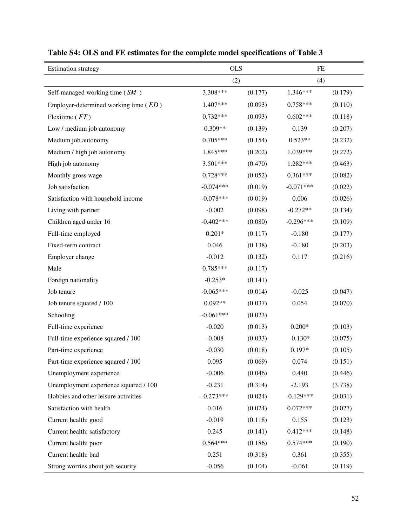| <b>Estimation strategy</b>            | <b>OLS</b>  |         | ${\rm FE}$  |         |  |
|---------------------------------------|-------------|---------|-------------|---------|--|
|                                       | (2)         |         | (4)         |         |  |
| Self-managed working time (SM)        | 3.308***    | (0.177) | 1.346***    | (0.179) |  |
| Employer-determined working time (ED) | 1.407***    | (0.093) | $0.758***$  | (0.110) |  |
| Flexitime $(FT)$                      | $0.732***$  | (0.093) | $0.602***$  | (0.118) |  |
| Low / medium job autonomy             | $0.309**$   | (0.139) | 0.139       | (0.207) |  |
| Medium job autonomy                   | $0.705***$  | (0.154) | $0.523**$   | (0.232) |  |
| Medium / high job autonomy            | 1.845***    | (0.202) | 1.039***    | (0.272) |  |
| High job autonomy                     | 3.501***    | (0.470) | 1.282***    | (0.463) |  |
| Monthly gross wage                    | $0.728***$  | (0.052) | $0.361***$  | (0.082) |  |
| Job satisfaction                      | $-0.074***$ | (0.019) | $-0.071***$ | (0.022) |  |
| Satisfaction with household income    | $-0.078***$ | (0.019) | 0.006       | (0.026) |  |
| Living with partner                   | $-0.002$    | (0.098) | $-0.272**$  | (0.134) |  |
| Children aged under 16                | $-0.402***$ | (0.080) | $-0.296***$ | (0.109) |  |
| Full-time employed                    | $0.201*$    | (0.117) | $-0.180$    | (0.177) |  |
| Fixed-term contract                   | 0.046       | (0.138) | $-0.180$    | (0.203) |  |
| Employer change                       | $-0.012$    | (0.132) | 0.117       | (0.216) |  |
| Male                                  | $0.785***$  | (0.117) |             |         |  |
| Foreign nationality                   | $-0.253*$   | (0.141) |             |         |  |
| Job tenure                            | $-0.065***$ | (0.014) | $-0.025$    | (0.047) |  |
| Job tenure squared / 100              | $0.092**$   | (0.037) | 0.054       | (0.070) |  |
| Schooling                             | $-0.061***$ | (0.023) |             |         |  |
| Full-time experience                  | $-0.020$    | (0.013) | $0.200*$    | (0.103) |  |
| Full-time experience squared / 100    | $-0.008$    | (0.033) | $-0.130*$   | (0.075) |  |
| Part-time experience                  | $-0.030$    | (0.018) | $0.197*$    | (0.105) |  |
| Part-time experience squared / 100    | 0.095       | (0.069) | 0.074       | (0.151) |  |
| Unemployment experience               | $-0.006$    | (0.046) | 0.440       | (0.446) |  |
| Unemployment experience squared / 100 | $-0.231$    | (0.314) | $-2.193$    | (3.738) |  |
| Hobbies and other leisure activities  | $-0.273***$ | (0.024) | $-0.129***$ | (0.031) |  |
| Satisfaction with health              | 0.016       | (0.024) | $0.072***$  | (0.027) |  |
| Current health: good                  | $-0.019$    | (0.118) | 0.155       | (0.123) |  |
| Current health: satisfactory          | 0.245       | (0.141) | $0.412***$  | (0.148) |  |
| Current health: poor                  | $0.564***$  | (0.186) | $0.574***$  | (0.190) |  |
| Current health: bad                   | 0.251       | (0.318) | 0.361       | (0.355) |  |
| Strong worries about job security     | $-0.056$    | (0.104) | $-0.061$    | (0.119) |  |

# **Table S4: OLS and FE estimates for the complete model specifications of Table 3**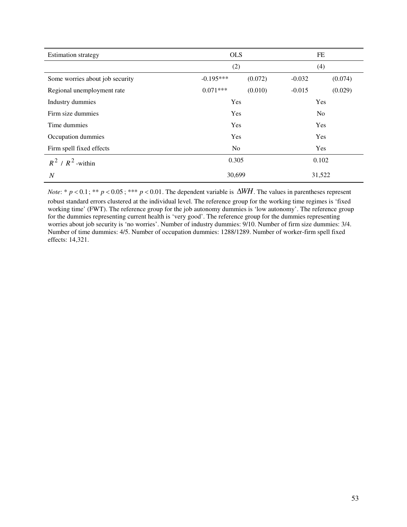| <b>Estimation strategy</b>      | <b>OLS</b>     | <b>FE</b>  |                |         |  |
|---------------------------------|----------------|------------|----------------|---------|--|
|                                 | (2)            |            | (4)            |         |  |
| Some worries about job security | $-0.195***$    | (0.072)    | $-0.032$       | (0.074) |  |
| Regional unemployment rate      | $0.071***$     | (0.010)    | $-0.015$       | (0.029) |  |
| Industry dummies                | Yes            |            | Yes            |         |  |
| Firm size dummies               | Yes            |            | N <sub>o</sub> |         |  |
| Time dummies                    | Yes            |            | Yes            |         |  |
| Occupation dummies              |                | Yes<br>Yes |                |         |  |
| Firm spell fixed effects        | N <sub>o</sub> |            | Yes            |         |  |
| $R^2/R^2$ -within               | 0.305          |            | 0.102          |         |  |
| N                               | 30,699         |            | 31,522         |         |  |

*Note*: \*  $p < 0.1$ ; \*\*  $p < 0.05$ ; \*\*\*  $p < 0.01$ . The dependent variable is  $\Delta WH$ . The values in parentheses represent robust standard errors clustered at the individual level. The reference group for the working time regimes is 'fixed working time' (FWT). The reference group for the job autonomy dummies is 'low autonomy'. The reference group for the dummies representing current health is 'very good'. The reference group for the dummies representing worries about job security is 'no worries'. Number of industry dummies: 9/10. Number of firm size dummies: 3/4. Number of time dummies: 4/5. Number of occupation dummies: 1288/1289. Number of worker-firm spell fixed effects: 14,321.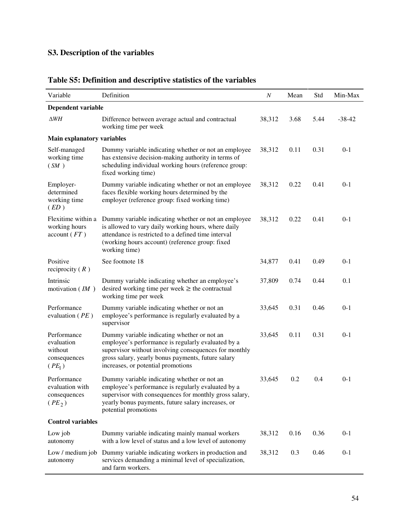# **S3. Description of the variables**

| Variable                                                                   | Definition                                                                                                                                                                                                                                             | $\boldsymbol{N}$ | Mean | Std  | Min-Max  |  |  |
|----------------------------------------------------------------------------|--------------------------------------------------------------------------------------------------------------------------------------------------------------------------------------------------------------------------------------------------------|------------------|------|------|----------|--|--|
| Dependent variable                                                         |                                                                                                                                                                                                                                                        |                  |      |      |          |  |  |
| $\Delta WH$                                                                | Difference between average actual and contractual<br>working time per week                                                                                                                                                                             | 38,312           | 3.68 | 5.44 | $-38-42$ |  |  |
| <b>Main explanatory variables</b>                                          |                                                                                                                                                                                                                                                        |                  |      |      |          |  |  |
| Self-managed<br>working time<br>(SM)                                       | Dummy variable indicating whether or not an employee<br>has extensive decision-making authority in terms of<br>scheduling individual working hours (reference group:<br>fixed working time)                                                            | 38,312           | 0.11 | 0.31 | $0-1$    |  |  |
| Employer-<br>determined<br>working time<br>(ED)                            | Dummy variable indicating whether or not an employee<br>faces flexible working hours determined by the<br>employer (reference group: fixed working time)                                                                                               | 38,312           | 0.22 | 0.41 | $0 - 1$  |  |  |
| Flexitime within a<br>working hours<br>account(FT)                         | Dummy variable indicating whether or not an employee<br>is allowed to vary daily working hours, where daily<br>attendance is restricted to a defined time interval<br>(working hours account) (reference group: fixed<br>working time)                 | 38,312           | 0.22 | 0.41 | $0-1$    |  |  |
| Positive<br>reciprocity $(R)$                                              | See footnote 18                                                                                                                                                                                                                                        | 34,877           | 0.41 | 0.49 | $0-1$    |  |  |
| Intrinsic<br>motivation $(M)$                                              | Dummy variable indicating whether an employee's<br>desired working time per week $\geq$ the contractual<br>working time per week                                                                                                                       | 37,809           | 0.74 | 0.44 | 0.1      |  |  |
| Performance<br>evaluation (PE)                                             | Dummy variable indicating whether or not an<br>employee's performance is regularly evaluated by a<br>supervisor                                                                                                                                        | 33,645           | 0.31 | 0.46 | $0-1$    |  |  |
| Performance<br>evaluation<br>without<br>consequences<br>(PE <sub>1</sub> ) | Dummy variable indicating whether or not an<br>employee's performance is regularly evaluated by a<br>supervisor without involving consequences for monthly<br>gross salary, yearly bonus payments, future salary<br>increases, or potential promotions | 33,645           | 0.11 | 0.31 | $0-1$    |  |  |
| Performance<br>evaluation with<br>consequences<br>(PE <sub>2</sub> )       | Dummy variable indicating whether or not an<br>employee's performance is regularly evaluated by a<br>supervisor with consequences for monthly gross salary,<br>yearly bonus payments, future salary increases, or<br>potential promotions              | 33,645           | 0.2  | 0.4  | $0-1$    |  |  |
| <b>Control variables</b>                                                   |                                                                                                                                                                                                                                                        |                  |      |      |          |  |  |
| Low job<br>autonomy                                                        | Dummy variable indicating mainly manual workers<br>with a low level of status and a low level of autonomy                                                                                                                                              | 38,312           | 0.16 | 0.36 | $0 - 1$  |  |  |
| Low / medium job<br>autonomy                                               | Dummy variable indicating workers in production and<br>services demanding a minimal level of specialization,<br>and farm workers.                                                                                                                      | 38,312           | 0.3  | 0.46 | $0 - 1$  |  |  |

# **Table S5: Definition and descriptive statistics of the variables**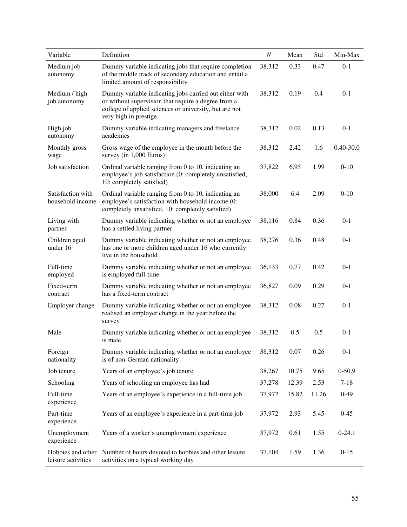| Variable                                | Definition                                                                                                                                                                                       | $\boldsymbol{N}$ | Mean  | Std   | Min-Max       |
|-----------------------------------------|--------------------------------------------------------------------------------------------------------------------------------------------------------------------------------------------------|------------------|-------|-------|---------------|
| Medium job<br>autonomy                  | Dummy variable indicating jobs that require completion<br>of the middle track of secondary education and entail a<br>limited amount of responsibility                                            | 38,312           | 0.33  | 0.47  | $0 - 1$       |
| Medium / high<br>job autonomy           | Dummy variable indicating jobs carried out either with<br>or without supervision that require a degree from a<br>college of applied sciences or university, but are not<br>very high in prestige | 38,312           | 0.19  | 0.4   | $0 - 1$       |
| High job<br>autonomy                    | Dummy variable indicating managers and freelance<br>academics                                                                                                                                    | 38,312           | 0.02  | 0.13  | $0 - 1$       |
| Monthly gross<br>wage                   | Gross wage of the employee in the month before the<br>survey (in 1,000 Euros)                                                                                                                    | 38,312           | 2.42  | 1.6   | $0.40 - 30.0$ |
| Job satisfaction                        | Ordinal variable ranging from 0 to 10, indicating an<br>employee's job satisfaction (0: completely unsatisfied,<br>10: completely satisfied)                                                     | 37,822           | 6.95  | 1.99  | $0-10$        |
| Satisfaction with<br>household income   | Ordinal variable ranging from 0 to 10, indicating an<br>employee's satisfaction with household income (0:<br>completely unsatisfied, 10: completely satisfied)                                   | 38,000           | 6.4   | 2.09  | $0-10$        |
| Living with<br>partner                  | Dummy variable indicating whether or not an employee<br>has a settled living partner                                                                                                             | 38,116           | 0.84  | 0.36  | $0 - 1$       |
| Children aged<br>under 16               | Dummy variable indicating whether or not an employee<br>has one or more children aged under 16 who currently<br>live in the household                                                            | 38,276           | 0.36  | 0.48  | $0 - 1$       |
| Full-time<br>employed                   | Dummy variable indicating whether or not an employee<br>is employed full-time                                                                                                                    | 36,133           | 0.77  | 0.42  | $0 - 1$       |
| Fixed-term<br>contract                  | Dummy variable indicating whether or not an employee<br>has a fixed-term contract                                                                                                                | 36,827           | 0.09  | 0.29  | $0 - 1$       |
| Employer change                         | Dummy variable indicating whether or not an employee<br>realised an employer change in the year before the<br>survey                                                                             | 38,312           | 0.08  | 0.27  | $0 - 1$       |
| Male                                    | Dummy variable indicating whether or not an employee<br>is male                                                                                                                                  | 38,312           | 0.5   | 0.5   | $0 - 1$       |
| Foreign<br>nationality                  | Dummy variable indicating whether or not an employee<br>is of non-German nationality                                                                                                             | 38,312           | 0.07  | 0.26  | $0 - 1$       |
| Job tenure                              | Years of an employee's job tenure                                                                                                                                                                | 38,267           | 10.75 | 9.65  | $0 - 50.9$    |
| Schooling                               | Years of schooling an employee has had                                                                                                                                                           | 37,278           | 12.39 | 2.53  | $7 - 18$      |
| Full-time<br>experience                 | Years of an employee's experience in a full-time job                                                                                                                                             | 37,972           | 15.82 | 11.26 | $0-49$        |
| Part-time<br>experience                 | Years of an employee's experience in a part-time job                                                                                                                                             | 37,972           | 2.93  | 5.45  | $0-45$        |
| Unemployment<br>experience              | Years of a worker's unemployment experience                                                                                                                                                      | 37,972           | 0.61  | 1.55  | $0-24.1$      |
| Hobbies and other<br>leisure activities | Number of hours devoted to hobbies and other leisure<br>activities on a typical working day                                                                                                      | 37,104           | 1.59  | 1.36  | $0-15$        |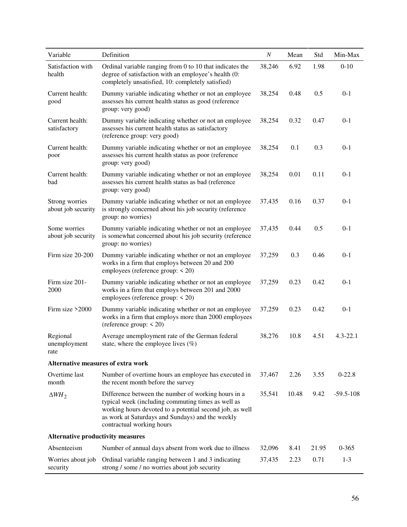| Variable                                 | Definition                                                                                                                                                                                                                                             | $\boldsymbol{N}$ | Mean  | Std   | Min-Max      |  |
|------------------------------------------|--------------------------------------------------------------------------------------------------------------------------------------------------------------------------------------------------------------------------------------------------------|------------------|-------|-------|--------------|--|
| Satisfaction with<br>health              | Ordinal variable ranging from 0 to 10 that indicates the<br>degree of satisfaction with an employee's health (0:<br>completely unsatisfied, 10: completely satisfied)                                                                                  | 38,246           | 6.92  | 1.98  | $0-10$       |  |
| Current health:<br>good                  | Dummy variable indicating whether or not an employee<br>assesses his current health status as good (reference<br>group: very good)                                                                                                                     | 38,254           | 0.48  | 0.5   | $0 - 1$      |  |
| Current health:<br>satisfactory          | Dummy variable indicating whether or not an employee<br>assesses his current health status as satisfactory<br>(reference group: very good)                                                                                                             | 38,254           | 0.32  | 0.47  | $0 - 1$      |  |
| Current health:<br>poor                  | Dummy variable indicating whether or not an employee<br>assesses his current health status as poor (reference<br>group: very good)                                                                                                                     | 38,254           | 0.1   | 0.3   | $0 - 1$      |  |
| Current health:<br>bad                   | Dummy variable indicating whether or not an employee<br>assesses his current health status as bad (reference<br>group: very good)                                                                                                                      | 38,254           | 0.01  | 0.11  | $0 - 1$      |  |
| Strong worries<br>about job security     | Dummy variable indicating whether or not an employee<br>is strongly concerned about his job security (reference<br>group: no worries)                                                                                                                  | 37,435           | 0.16  | 0.37  | $0 - 1$      |  |
| Some worries<br>about job security       | Dummy variable indicating whether or not an employee<br>is somewhat concerned about his job security (reference<br>group: no worries)                                                                                                                  | 37,435           | 0.44  | 0.5   | $0 - 1$      |  |
| Firm size 20-200                         | Dummy variable indicating whether or not an employee<br>works in a firm that employs between 20 and 200<br>employees (reference group: $\leq 20$ )                                                                                                     | 37,259           | 0.3   | 0.46  | $0 - 1$      |  |
| Firm size 201-<br>2000                   | Dummy variable indicating whether or not an employee<br>works in a firm that employs between 201 and 2000<br>employees (reference group: $\leq$ 20)                                                                                                    | 37,259           | 0.23  | 0.42  | $0 - 1$      |  |
| Firm size >2000                          | Dummy variable indicating whether or not an employee<br>works in a firm that employs more than 2000 employees<br>(reference group: $\leq$ 20)                                                                                                          | 37,259           | 0.23  | 0.42  | $0 - 1$      |  |
| Regional<br>unemployment<br>rate         | Average unemployment rate of the German federal<br>state, where the employee lives $(\%)$                                                                                                                                                              | 38,276           | 10.8  | 4.51  | $4.3 - 22.1$ |  |
| Alternative measures of extra work       |                                                                                                                                                                                                                                                        |                  |       |       |              |  |
| Overtime last<br>month                   | Number of overtime hours an employee has executed in<br>the recent month before the survey                                                                                                                                                             | 37,467           | 2.26  | 3.55  | $0-22.8$     |  |
| $\Delta WH_2$                            | Difference between the number of working hours in a<br>typical week (including commuting times as well as<br>working hours devoted to a potential second job, as well<br>as work at Saturdays and Sundays) and the weekly<br>contractual working hours | 35,541           | 10.48 | 9.42  | $-59.5-108$  |  |
| <b>Alternative productivity measures</b> |                                                                                                                                                                                                                                                        |                  |       |       |              |  |
| Absenteeism                              | Number of annual days absent from work due to illness                                                                                                                                                                                                  | 32,096           | 8.41  | 21.95 | $0 - 365$    |  |
| Worries about job<br>security            | Ordinal variable ranging between 1 and 3 indicating<br>strong / some / no worries about job security                                                                                                                                                   | 37,435           | 2.23  | 0.71  | $1 - 3$      |  |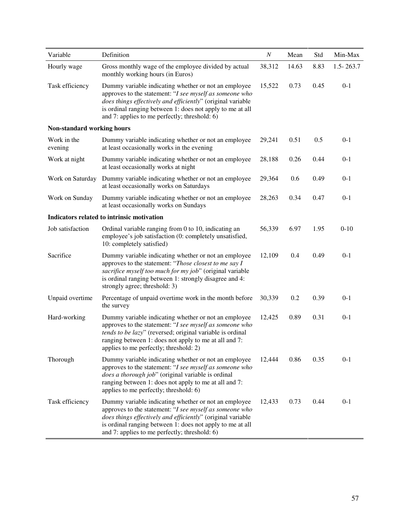| Variable                          | Definition                                                                                                                                                                                                                                                                                   | $\boldsymbol{N}$ | Mean  | Std  | Min-Max       |
|-----------------------------------|----------------------------------------------------------------------------------------------------------------------------------------------------------------------------------------------------------------------------------------------------------------------------------------------|------------------|-------|------|---------------|
| Hourly wage                       | Gross monthly wage of the employee divided by actual<br>monthly working hours (in Euros)                                                                                                                                                                                                     | 38,312           | 14.63 | 8.83 | $1.5 - 263.7$ |
| Task efficiency                   | Dummy variable indicating whether or not an employee<br>approves to the statement: "I see myself as someone who<br>does things effectively and efficiently" (original variable<br>is ordinal ranging between 1: does not apply to me at all<br>and 7: applies to me perfectly; threshold: 6) | 15,522           | 0.73  | 0.45 | $0 - 1$       |
| <b>Non-standard working hours</b> |                                                                                                                                                                                                                                                                                              |                  |       |      |               |
| Work in the<br>evening            | Dummy variable indicating whether or not an employee<br>at least occasionally works in the evening                                                                                                                                                                                           | 29,241           | 0.51  | 0.5  | $0 - 1$       |
| Work at night                     | Dummy variable indicating whether or not an employee<br>at least occasionally works at night                                                                                                                                                                                                 | 28,188           | 0.26  | 0.44 | $0 - 1$       |
| Work on Saturday                  | Dummy variable indicating whether or not an employee<br>at least occasionally works on Saturdays                                                                                                                                                                                             | 29,364           | 0.6   | 0.49 | $0 - 1$       |
| Work on Sunday                    | Dummy variable indicating whether or not an employee<br>at least occasionally works on Sundays                                                                                                                                                                                               | 28,263           | 0.34  | 0.47 | $0 - 1$       |
|                                   | Indicators related to intrinsic motivation                                                                                                                                                                                                                                                   |                  |       |      |               |
| Job satisfaction                  | Ordinal variable ranging from 0 to 10, indicating an<br>employee's job satisfaction (0: completely unsatisfied,<br>10: completely satisfied)                                                                                                                                                 | 56,339           | 6.97  | 1.95 | $0-10$        |
| Sacrifice                         | Dummy variable indicating whether or not an employee<br>approves to the statement: "Those closest to me say I<br>sacrifice myself too much for my job" (original variable<br>is ordinal ranging between 1: strongly disagree and 4:<br>strongly agree; threshold: 3)                         | 12,109           | 0.4   | 0.49 | $0 - 1$       |
| Unpaid overtime                   | Percentage of unpaid overtime work in the month before<br>the survey                                                                                                                                                                                                                         | 30,339           | 0.2   | 0.39 | $0-1$         |
| Hard-working                      | Dummy variable indicating whether or not an employee<br>approves to the statement: "I see myself as someone who<br>tends to be lazy" (reversed; original variable is ordinal<br>ranging between 1: does not apply to me at all and 7:<br>applies to me perfectly; threshold: 2)              | 12,425           | 0.89  | 0.31 | $0 - 1$       |
| Thorough                          | Dummy variable indicating whether or not an employee<br>approves to the statement: "I see myself as someone who<br>does a thorough job" (original variable is ordinal<br>ranging between 1: does not apply to me at all and 7:<br>applies to me perfectly; threshold: 6)                     | 12,444           | 0.86  | 0.35 | $0 - 1$       |
| Task efficiency                   | Dummy variable indicating whether or not an employee<br>approves to the statement: "I see myself as someone who<br>does things effectively and efficiently" (original variable<br>is ordinal ranging between 1: does not apply to me at all<br>and 7: applies to me perfectly; threshold: 6) | 12,433           | 0.73  | 0.44 | $0 - 1$       |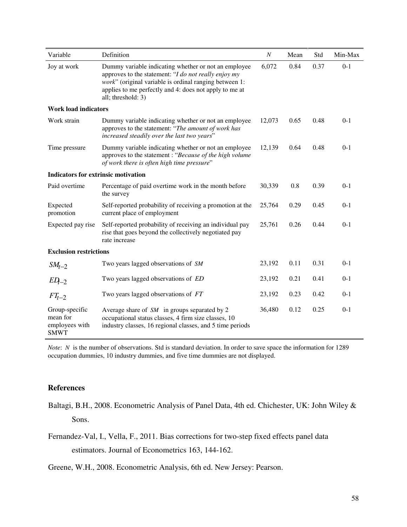| Variable                                                    | Definition                                                                                                                                                                                                                                                     | $\boldsymbol{N}$ | Mean | Std  | Min-Max |  |  |
|-------------------------------------------------------------|----------------------------------------------------------------------------------------------------------------------------------------------------------------------------------------------------------------------------------------------------------------|------------------|------|------|---------|--|--|
| Joy at work                                                 | Dummy variable indicating whether or not an employee<br>approves to the statement: "I do not really enjoy my<br><i>work</i> " (original variable is ordinal ranging between 1:<br>applies to me perfectly and 4: does not apply to me at<br>all; threshold: 3) | 6,072            | 0.84 | 0.37 | $0 - 1$ |  |  |
| <b>Work load indicators</b>                                 |                                                                                                                                                                                                                                                                |                  |      |      |         |  |  |
| Work strain                                                 | Dummy variable indicating whether or not an employee<br>approves to the statement: "The amount of work has<br>increased steadily over the last two years"                                                                                                      | 12,073           | 0.65 | 0.48 | $0 - 1$ |  |  |
| Time pressure                                               | Dummy variable indicating whether or not an employee<br>approves to the statement : "Because of the high volume<br>of work there is often high time pressure"                                                                                                  | 12,139           | 0.64 | 0.48 | $0 - 1$ |  |  |
| Indicators for extrinsic motivation                         |                                                                                                                                                                                                                                                                |                  |      |      |         |  |  |
| Paid overtime                                               | Percentage of paid overtime work in the month before<br>the survey                                                                                                                                                                                             | 30,339           | 0.8  | 0.39 | $0 - 1$ |  |  |
| Expected<br>promotion                                       | Self-reported probability of receiving a promotion at the<br>current place of employment                                                                                                                                                                       | 25,764           | 0.29 | 0.45 | $0 - 1$ |  |  |
| Expected pay rise                                           | Self-reported probability of receiving an individual pay<br>rise that goes beyond the collectively negotiated pay<br>rate increase                                                                                                                             | 25,761           | 0.26 | 0.44 | $0 - 1$ |  |  |
| <b>Exclusion restrictions</b>                               |                                                                                                                                                                                                                                                                |                  |      |      |         |  |  |
| $SM_{t-2}$                                                  | Two years lagged observations of SM                                                                                                                                                                                                                            | 23,192           | 0.11 | 0.31 | $0 - 1$ |  |  |
| $ED_{-2}$                                                   | Two years lagged observations of <i>ED</i>                                                                                                                                                                                                                     | 23,192           | 0.21 | 0.41 | $0 - 1$ |  |  |
| $FT_{t-2}$                                                  | Two years lagged observations of FT                                                                                                                                                                                                                            | 23,192           | 0.23 | 0.42 | $0 - 1$ |  |  |
| Group-specific<br>mean for<br>employees with<br><b>SMWT</b> | Average share of $SM$ in groups separated by 2<br>occupational status classes, 4 firm size classes, 10<br>industry classes, 16 regional classes, and 5 time periods                                                                                            | 36,480           | 0.12 | 0.25 | $0 - 1$ |  |  |

*Note*: *N* is the number of observations. Std is standard deviation. In order to save space the information for 1289 occupation dummies, 10 industry dummies, and five time dummies are not displayed.

# **References**

Baltagi, B.H., 2008. Econometric Analysis of Panel Data, 4th ed. Chichester, UK: John Wiley & Sons.

Fernandez-Val, I., Vella, F., 2011. Bias corrections for two-step fixed effects panel data estimators. Journal of Econometrics 163, 144-162.

Greene, W.H., 2008. Econometric Analysis, 6th ed. New Jersey: Pearson.